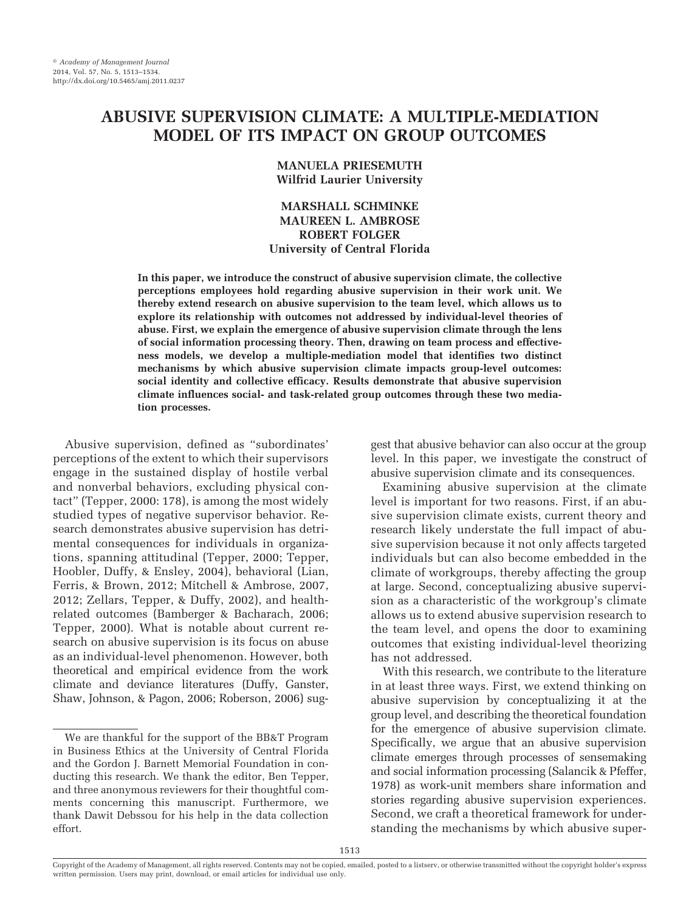# **ABUSIVE SUPERVISION CLIMATE: A MULTIPLE-MEDIATION MODEL OF ITS IMPACT ON GROUP OUTCOMES**

# **MANUELA PRIESEMUTH Wilfrid Laurier University**

**MARSHALL SCHMINKE MAUREEN L. AMBROSE ROBERT FOLGER University of Central Florida**

**In this paper, we introduce the construct of abusive supervision climate, the collective perceptions employees hold regarding abusive supervision in their work unit. We thereby extend research on abusive supervision to the team level, which allows us to explore its relationship with outcomes not addressed by individual-level theories of abuse. First, we explain the emergence of abusive supervision climate through the lens of social information processing theory. Then, drawing on team process and effectiveness models, we develop a multiple-mediation model that identifies two distinct mechanisms by which abusive supervision climate impacts group-level outcomes: social identity and collective efficacy. Results demonstrate that abusive supervision climate influences social- and task-related group outcomes through these two mediation processes.**

Abusive supervision, defined as "subordinates' perceptions of the extent to which their supervisors engage in the sustained display of hostile verbal and nonverbal behaviors, excluding physical contact" (Tepper, 2000: 178), is among the most widely studied types of negative supervisor behavior. Research demonstrates abusive supervision has detrimental consequences for individuals in organizations, spanning attitudinal (Tepper, 2000; Tepper, Hoobler, Duffy, & Ensley, 2004), behavioral (Lian, Ferris, & Brown, 2012; Mitchell & Ambrose, 2007, 2012; Zellars, Tepper, & Duffy, 2002), and healthrelated outcomes (Bamberger & Bacharach, 2006; Tepper, 2000). What is notable about current research on abusive supervision is its focus on abuse as an individual-level phenomenon. However, both theoretical and empirical evidence from the work climate and deviance literatures (Duffy, Ganster, Shaw, Johnson, & Pagon, 2006; Roberson, 2006) suggest that abusive behavior can also occur at the group level. In this paper, we investigate the construct of abusive supervision climate and its consequences.

Examining abusive supervision at the climate level is important for two reasons. First, if an abusive supervision climate exists, current theory and research likely understate the full impact of abusive supervision because it not only affects targeted individuals but can also become embedded in the climate of workgroups, thereby affecting the group at large. Second, conceptualizing abusive supervision as a characteristic of the workgroup's climate allows us to extend abusive supervision research to the team level, and opens the door to examining outcomes that existing individual-level theorizing has not addressed.

With this research, we contribute to the literature in at least three ways. First, we extend thinking on abusive supervision by conceptualizing it at the group level, and describing the theoretical foundation for the emergence of abusive supervision climate. Specifically, we argue that an abusive supervision climate emerges through processes of sensemaking and social information processing (Salancik & Pfeffer, 1978) as work-unit members share information and stories regarding abusive supervision experiences. Second, we craft a theoretical framework for understanding the mechanisms by which abusive super-

We are thankful for the support of the BB&T Program in Business Ethics at the University of Central Florida and the Gordon J. Barnett Memorial Foundation in conducting this research. We thank the editor, Ben Tepper, and three anonymous reviewers for their thoughtful comments concerning this manuscript. Furthermore, we thank Dawit Debssou for his help in the data collection effort.

Copyright of the Academy of Management, all rights reserved. Contents may not be copied, emailed, posted to a listserv, or otherwise transmitted without the copyright holder's express written permission. Users may print, download, or email articles for individual use only.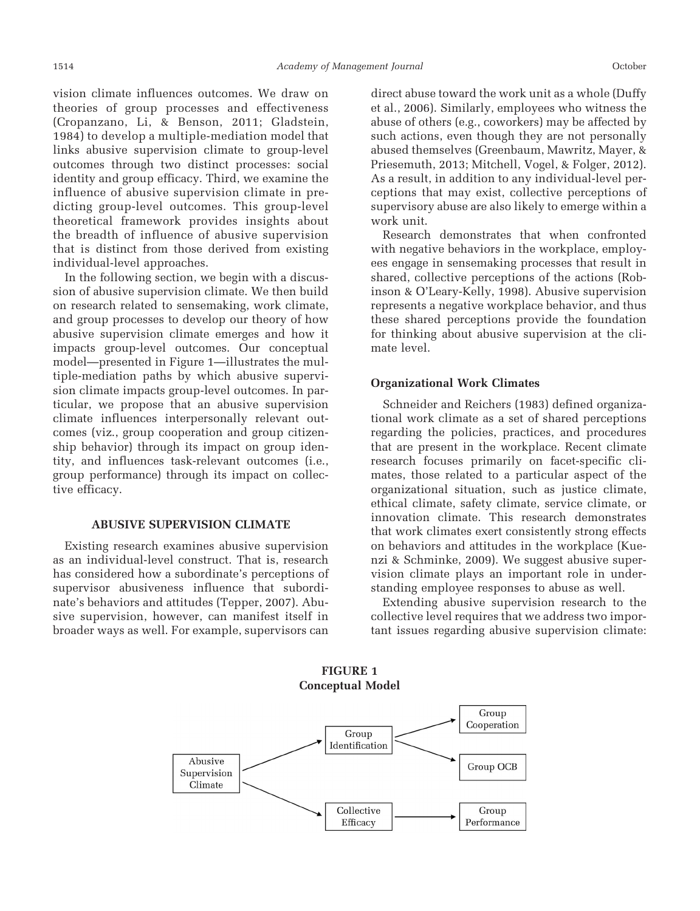vision climate influences outcomes. We draw on theories of group processes and effectiveness (Cropanzano, Li, & Benson, 2011; Gladstein, 1984) to develop a multiple-mediation model that links abusive supervision climate to group-level outcomes through two distinct processes: social identity and group efficacy. Third, we examine the influence of abusive supervision climate in predicting group-level outcomes. This group-level theoretical framework provides insights about the breadth of influence of abusive supervision that is distinct from those derived from existing individual-level approaches.

In the following section, we begin with a discussion of abusive supervision climate. We then build on research related to sensemaking, work climate, and group processes to develop our theory of how abusive supervision climate emerges and how it impacts group-level outcomes. Our conceptual model—presented in Figure 1—illustrates the multiple-mediation paths by which abusive supervision climate impacts group-level outcomes. In particular, we propose that an abusive supervision climate influences interpersonally relevant outcomes (viz., group cooperation and group citizenship behavior) through its impact on group identity, and influences task-relevant outcomes (i.e., group performance) through its impact on collective efficacy.

## **ABUSIVE SUPERVISION CLIMATE**

Existing research examines abusive supervision as an individual-level construct. That is, research has considered how a subordinate's perceptions of supervisor abusiveness influence that subordinate's behaviors and attitudes (Tepper, 2007). Abusive supervision, however, can manifest itself in broader ways as well. For example, supervisors can

direct abuse toward the work unit as a whole (Duffy et al., 2006). Similarly, employees who witness the abuse of others (e.g., coworkers) may be affected by such actions, even though they are not personally abused themselves (Greenbaum, Mawritz, Mayer, & Priesemuth, 2013; Mitchell, Vogel, & Folger, 2012). As a result, in addition to any individual-level perceptions that may exist, collective perceptions of supervisory abuse are also likely to emerge within a work unit.

Research demonstrates that when confronted with negative behaviors in the workplace, employees engage in sensemaking processes that result in shared, collective perceptions of the actions (Robinson & O'Leary-Kelly, 1998). Abusive supervision represents a negative workplace behavior, and thus these shared perceptions provide the foundation for thinking about abusive supervision at the climate level.

# **Organizational Work Climates**

Schneider and Reichers (1983) defined organizational work climate as a set of shared perceptions regarding the policies, practices, and procedures that are present in the workplace. Recent climate research focuses primarily on facet-specific climates, those related to a particular aspect of the organizational situation, such as justice climate, ethical climate, safety climate, service climate, or innovation climate. This research demonstrates that work climates exert consistently strong effects on behaviors and attitudes in the workplace (Kuenzi & Schminke, 2009). We suggest abusive supervision climate plays an important role in understanding employee responses to abuse as well.

Extending abusive supervision research to the collective level requires that we address two important issues regarding abusive supervision climate:

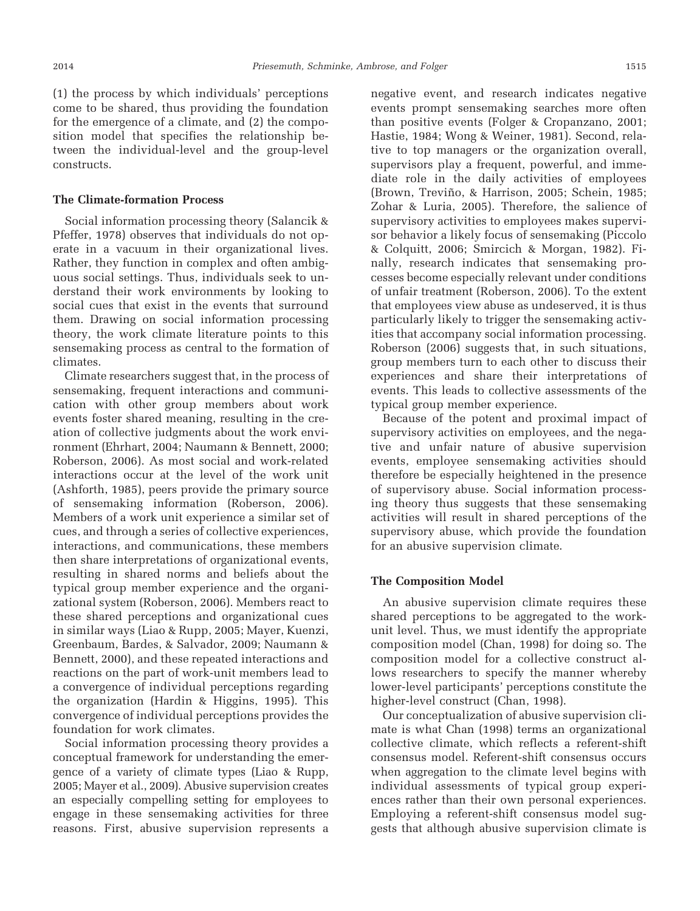(1) the process by which individuals' perceptions come to be shared, thus providing the foundation for the emergence of a climate, and (2) the composition model that specifies the relationship between the individual-level and the group-level constructs.

# **The Climate-formation Process**

Social information processing theory (Salancik & Pfeffer, 1978) observes that individuals do not operate in a vacuum in their organizational lives. Rather, they function in complex and often ambiguous social settings. Thus, individuals seek to understand their work environments by looking to social cues that exist in the events that surround them. Drawing on social information processing theory, the work climate literature points to this sensemaking process as central to the formation of climates.

Climate researchers suggest that, in the process of sensemaking, frequent interactions and communication with other group members about work events foster shared meaning, resulting in the creation of collective judgments about the work environment (Ehrhart, 2004; Naumann & Bennett, 2000; Roberson, 2006). As most social and work-related interactions occur at the level of the work unit (Ashforth, 1985), peers provide the primary source of sensemaking information (Roberson, 2006). Members of a work unit experience a similar set of cues, and through a series of collective experiences, interactions, and communications, these members then share interpretations of organizational events, resulting in shared norms and beliefs about the typical group member experience and the organizational system (Roberson, 2006). Members react to these shared perceptions and organizational cues in similar ways (Liao & Rupp, 2005; Mayer, Kuenzi, Greenbaum, Bardes, & Salvador, 2009; Naumann & Bennett, 2000), and these repeated interactions and reactions on the part of work-unit members lead to a convergence of individual perceptions regarding the organization (Hardin & Higgins, 1995). This convergence of individual perceptions provides the foundation for work climates.

Social information processing theory provides a conceptual framework for understanding the emergence of a variety of climate types (Liao & Rupp, 2005; Mayer et al., 2009). Abusive supervision creates an especially compelling setting for employees to engage in these sensemaking activities for three reasons. First, abusive supervision represents a negative event, and research indicates negative events prompt sensemaking searches more often than positive events (Folger & Cropanzano, 2001; Hastie, 1984; Wong & Weiner, 1981). Second, relative to top managers or the organization overall, supervisors play a frequent, powerful, and immediate role in the daily activities of employees (Brown, Treviño, & Harrison, 2005; Schein, 1985; Zohar & Luria, 2005). Therefore, the salience of supervisory activities to employees makes supervisor behavior a likely focus of sensemaking (Piccolo & Colquitt, 2006; Smircich & Morgan, 1982). Finally, research indicates that sensemaking processes become especially relevant under conditions of unfair treatment (Roberson, 2006). To the extent that employees view abuse as undeserved, it is thus particularly likely to trigger the sensemaking activities that accompany social information processing. Roberson (2006) suggests that, in such situations, group members turn to each other to discuss their experiences and share their interpretations of events. This leads to collective assessments of the typical group member experience.

Because of the potent and proximal impact of supervisory activities on employees, and the negative and unfair nature of abusive supervision events, employee sensemaking activities should therefore be especially heightened in the presence of supervisory abuse. Social information processing theory thus suggests that these sensemaking activities will result in shared perceptions of the supervisory abuse, which provide the foundation for an abusive supervision climate.

# **The Composition Model**

An abusive supervision climate requires these shared perceptions to be aggregated to the workunit level. Thus, we must identify the appropriate composition model (Chan, 1998) for doing so. The composition model for a collective construct allows researchers to specify the manner whereby lower-level participants' perceptions constitute the higher-level construct (Chan, 1998).

Our conceptualization of abusive supervision climate is what Chan (1998) terms an organizational collective climate, which reflects a referent-shift consensus model. Referent-shift consensus occurs when aggregation to the climate level begins with individual assessments of typical group experiences rather than their own personal experiences. Employing a referent-shift consensus model suggests that although abusive supervision climate is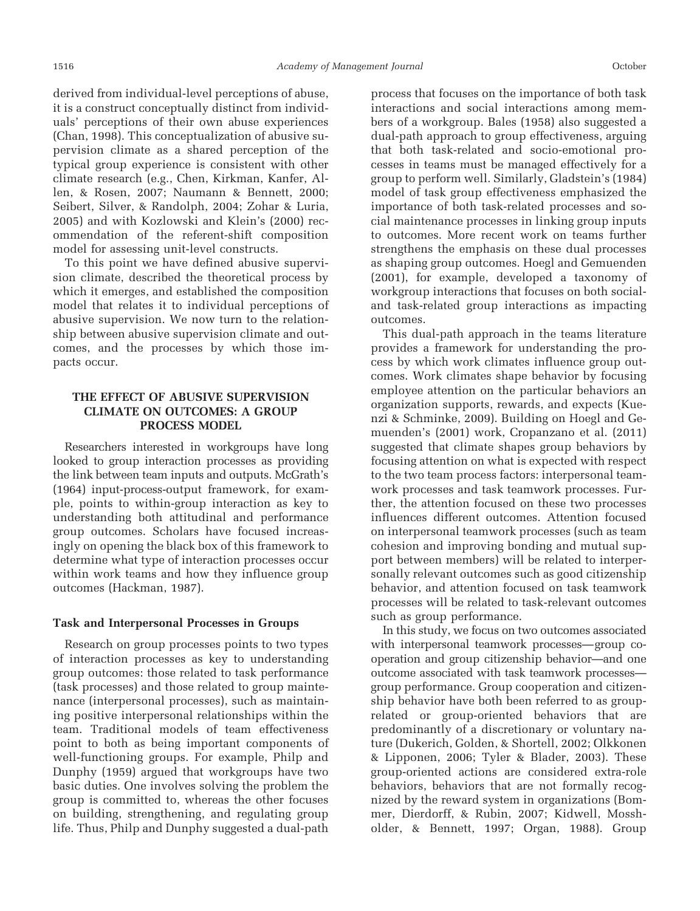it is a construct conceptually distinct from individuals' perceptions of their own abuse experiences (Chan, 1998). This conceptualization of abusive supervision climate as a shared perception of the typical group experience is consistent with other climate research (e.g., Chen, Kirkman, Kanfer, Allen, & Rosen, 2007; Naumann & Bennett, 2000; Seibert, Silver, & Randolph, 2004; Zohar & Luria, 2005) and with Kozlowski and Klein's (2000) recommendation of the referent-shift composition model for assessing unit-level constructs.

To this point we have defined abusive supervision climate, described the theoretical process by which it emerges, and established the composition model that relates it to individual perceptions of abusive supervision. We now turn to the relationship between abusive supervision climate and outcomes, and the processes by which those impacts occur.

# **THE EFFECT OF ABUSIVE SUPERVISION CLIMATE ON OUTCOMES: A GROUP PROCESS MODEL**

Researchers interested in workgroups have long looked to group interaction processes as providing the link between team inputs and outputs. McGrath's (1964) input-process-output framework, for example, points to within-group interaction as key to understanding both attitudinal and performance group outcomes. Scholars have focused increasingly on opening the black box of this framework to determine what type of interaction processes occur within work teams and how they influence group outcomes (Hackman, 1987).

# **Task and Interpersonal Processes in Groups**

Research on group processes points to two types of interaction processes as key to understanding group outcomes: those related to task performance (task processes) and those related to group maintenance (interpersonal processes), such as maintaining positive interpersonal relationships within the team. Traditional models of team effectiveness point to both as being important components of well-functioning groups. For example, Philp and Dunphy (1959) argued that workgroups have two basic duties. One involves solving the problem the group is committed to, whereas the other focuses on building, strengthening, and regulating group life. Thus, Philp and Dunphy suggested a dual-path

process that focuses on the importance of both task interactions and social interactions among members of a workgroup. Bales (1958) also suggested a dual-path approach to group effectiveness, arguing that both task-related and socio-emotional processes in teams must be managed effectively for a group to perform well. Similarly, Gladstein's (1984) model of task group effectiveness emphasized the importance of both task-related processes and social maintenance processes in linking group inputs to outcomes. More recent work on teams further strengthens the emphasis on these dual processes as shaping group outcomes. Hoegl and Gemuenden (2001), for example, developed a taxonomy of workgroup interactions that focuses on both socialand task-related group interactions as impacting outcomes.

This dual-path approach in the teams literature provides a framework for understanding the process by which work climates influence group outcomes. Work climates shape behavior by focusing employee attention on the particular behaviors an organization supports, rewards, and expects (Kuenzi & Schminke, 2009). Building on Hoegl and Gemuenden's (2001) work, Cropanzano et al. (2011) suggested that climate shapes group behaviors by focusing attention on what is expected with respect to the two team process factors: interpersonal teamwork processes and task teamwork processes. Further, the attention focused on these two processes influences different outcomes. Attention focused on interpersonal teamwork processes (such as team cohesion and improving bonding and mutual support between members) will be related to interpersonally relevant outcomes such as good citizenship behavior, and attention focused on task teamwork processes will be related to task-relevant outcomes such as group performance.

In this study, we focus on two outcomes associated with interpersonal teamwork processes— group cooperation and group citizenship behavior—and one outcome associated with task teamwork processes group performance. Group cooperation and citizenship behavior have both been referred to as grouprelated or group-oriented behaviors that are predominantly of a discretionary or voluntary nature (Dukerich, Golden, & Shortell, 2002; Olkkonen & Lipponen, 2006; Tyler & Blader, 2003). These group-oriented actions are considered extra-role behaviors, behaviors that are not formally recognized by the reward system in organizations (Bommer, Dierdorff, & Rubin, 2007; Kidwell, Mossholder, & Bennett, 1997; Organ, 1988). Group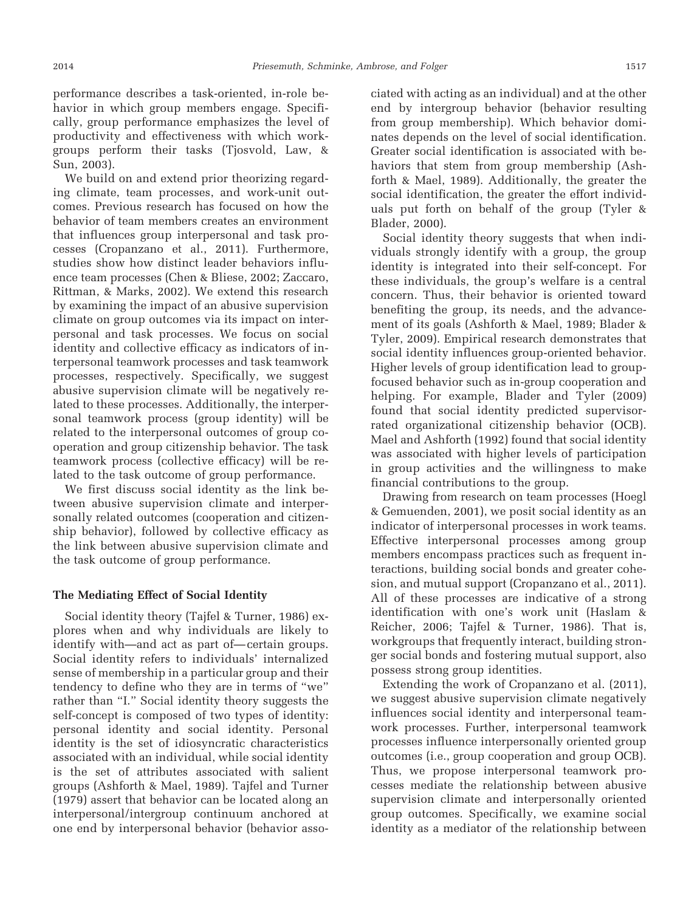performance describes a task-oriented, in-role behavior in which group members engage. Specifically, group performance emphasizes the level of productivity and effectiveness with which workgroups perform their tasks (Tjosvold, Law, & Sun, 2003).

We build on and extend prior theorizing regarding climate, team processes, and work-unit outcomes. Previous research has focused on how the behavior of team members creates an environment that influences group interpersonal and task processes (Cropanzano et al., 2011). Furthermore, studies show how distinct leader behaviors influence team processes (Chen & Bliese, 2002; Zaccaro, Rittman, & Marks, 2002). We extend this research by examining the impact of an abusive supervision climate on group outcomes via its impact on interpersonal and task processes. We focus on social identity and collective efficacy as indicators of interpersonal teamwork processes and task teamwork processes, respectively. Specifically, we suggest abusive supervision climate will be negatively related to these processes. Additionally, the interpersonal teamwork process (group identity) will be related to the interpersonal outcomes of group cooperation and group citizenship behavior. The task teamwork process (collective efficacy) will be related to the task outcome of group performance.

We first discuss social identity as the link between abusive supervision climate and interpersonally related outcomes (cooperation and citizenship behavior), followed by collective efficacy as the link between abusive supervision climate and the task outcome of group performance.

## **The Mediating Effect of Social Identity**

Social identity theory (Tajfel & Turner, 1986) explores when and why individuals are likely to identify with—and act as part of— certain groups. Social identity refers to individuals' internalized sense of membership in a particular group and their tendency to define who they are in terms of "we" rather than "I." Social identity theory suggests the self-concept is composed of two types of identity: personal identity and social identity. Personal identity is the set of idiosyncratic characteristics associated with an individual, while social identity is the set of attributes associated with salient groups (Ashforth & Mael, 1989). Tajfel and Turner (1979) assert that behavior can be located along an interpersonal/intergroup continuum anchored at one end by interpersonal behavior (behavior associated with acting as an individual) and at the other end by intergroup behavior (behavior resulting from group membership). Which behavior dominates depends on the level of social identification. Greater social identification is associated with behaviors that stem from group membership (Ashforth & Mael, 1989). Additionally, the greater the social identification, the greater the effort individuals put forth on behalf of the group (Tyler & Blader, 2000).

Social identity theory suggests that when individuals strongly identify with a group, the group identity is integrated into their self-concept. For these individuals, the group's welfare is a central concern. Thus, their behavior is oriented toward benefiting the group, its needs, and the advancement of its goals (Ashforth & Mael, 1989; Blader & Tyler, 2009). Empirical research demonstrates that social identity influences group-oriented behavior. Higher levels of group identification lead to groupfocused behavior such as in-group cooperation and helping. For example, Blader and Tyler (2009) found that social identity predicted supervisorrated organizational citizenship behavior (OCB). Mael and Ashforth (1992) found that social identity was associated with higher levels of participation in group activities and the willingness to make financial contributions to the group.

Drawing from research on team processes (Hoegl & Gemuenden, 2001), we posit social identity as an indicator of interpersonal processes in work teams. Effective interpersonal processes among group members encompass practices such as frequent interactions, building social bonds and greater cohesion, and mutual support (Cropanzano et al., 2011). All of these processes are indicative of a strong identification with one's work unit (Haslam & Reicher, 2006; Tajfel & Turner, 1986). That is, workgroups that frequently interact, building stronger social bonds and fostering mutual support, also possess strong group identities.

Extending the work of Cropanzano et al. (2011), we suggest abusive supervision climate negatively influences social identity and interpersonal teamwork processes. Further, interpersonal teamwork processes influence interpersonally oriented group outcomes (i.e., group cooperation and group OCB). Thus, we propose interpersonal teamwork processes mediate the relationship between abusive supervision climate and interpersonally oriented group outcomes. Specifically, we examine social identity as a mediator of the relationship between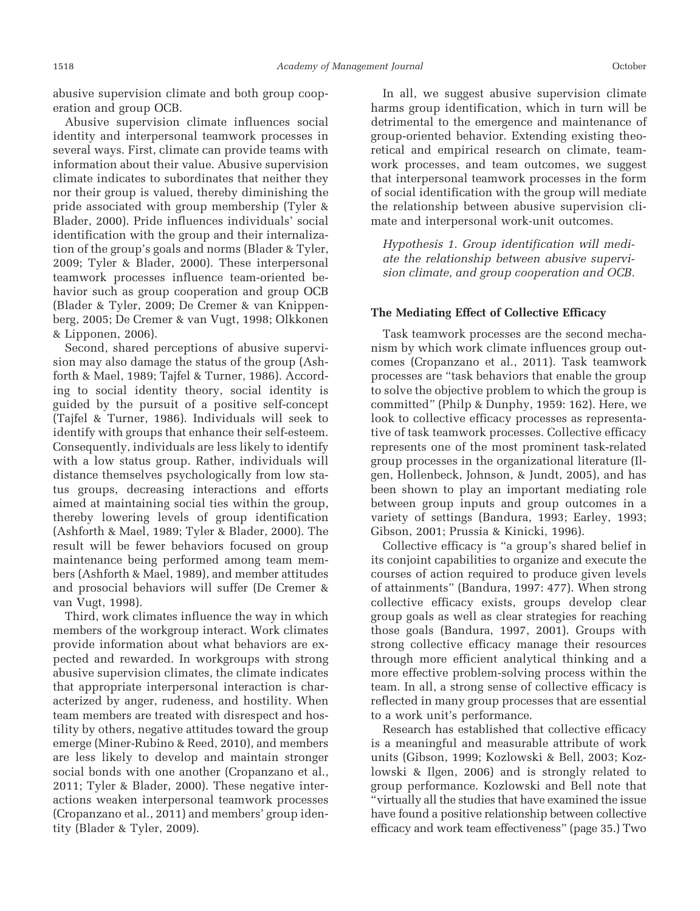abusive supervision climate and both group cooperation and group OCB.

Abusive supervision climate influences social identity and interpersonal teamwork processes in several ways. First, climate can provide teams with information about their value. Abusive supervision climate indicates to subordinates that neither they nor their group is valued, thereby diminishing the pride associated with group membership (Tyler & Blader, 2000). Pride influences individuals' social identification with the group and their internalization of the group's goals and norms (Blader & Tyler, 2009; Tyler & Blader, 2000). These interpersonal teamwork processes influence team-oriented behavior such as group cooperation and group OCB (Blader & Tyler, 2009; De Cremer & van Knippenberg, 2005; De Cremer & van Vugt, 1998; Olkkonen & Lipponen, 2006).

Second, shared perceptions of abusive supervision may also damage the status of the group (Ashforth & Mael, 1989; Tajfel & Turner, 1986). According to social identity theory, social identity is guided by the pursuit of a positive self-concept (Tajfel & Turner, 1986). Individuals will seek to identify with groups that enhance their self-esteem. Consequently, individuals are less likely to identify with a low status group. Rather, individuals will distance themselves psychologically from low status groups, decreasing interactions and efforts aimed at maintaining social ties within the group, thereby lowering levels of group identification (Ashforth & Mael, 1989; Tyler & Blader, 2000). The result will be fewer behaviors focused on group maintenance being performed among team members (Ashforth & Mael, 1989), and member attitudes and prosocial behaviors will suffer (De Cremer & van Vugt, 1998).

Third, work climates influence the way in which members of the workgroup interact. Work climates provide information about what behaviors are expected and rewarded. In workgroups with strong abusive supervision climates, the climate indicates that appropriate interpersonal interaction is characterized by anger, rudeness, and hostility. When team members are treated with disrespect and hostility by others, negative attitudes toward the group emerge (Miner-Rubino & Reed, 2010), and members are less likely to develop and maintain stronger social bonds with one another (Cropanzano et al., 2011; Tyler & Blader, 2000). These negative interactions weaken interpersonal teamwork processes (Cropanzano et al., 2011) and members' group identity (Blader & Tyler, 2009).

In all, we suggest abusive supervision climate harms group identification, which in turn will be detrimental to the emergence and maintenance of group-oriented behavior. Extending existing theoretical and empirical research on climate, teamwork processes, and team outcomes, we suggest that interpersonal teamwork processes in the form of social identification with the group will mediate the relationship between abusive supervision climate and interpersonal work-unit outcomes.

*Hypothesis 1. Group identification will mediate the relationship between abusive supervision climate, and group cooperation and OCB.*

# **The Mediating Effect of Collective Efficacy**

Task teamwork processes are the second mechanism by which work climate influences group outcomes (Cropanzano et al., 2011). Task teamwork processes are "task behaviors that enable the group to solve the objective problem to which the group is committed" (Philp & Dunphy, 1959: 162). Here, we look to collective efficacy processes as representative of task teamwork processes. Collective efficacy represents one of the most prominent task-related group processes in the organizational literature (Ilgen, Hollenbeck, Johnson, & Jundt, 2005), and has been shown to play an important mediating role between group inputs and group outcomes in a variety of settings (Bandura, 1993; Earley, 1993; Gibson, 2001; Prussia & Kinicki, 1996).

Collective efficacy is "a group's shared belief in its conjoint capabilities to organize and execute the courses of action required to produce given levels of attainments" (Bandura, 1997: 477). When strong collective efficacy exists, groups develop clear group goals as well as clear strategies for reaching those goals (Bandura, 1997, 2001). Groups with strong collective efficacy manage their resources through more efficient analytical thinking and a more effective problem-solving process within the team. In all, a strong sense of collective efficacy is reflected in many group processes that are essential to a work unit's performance.

Research has established that collective efficacy is a meaningful and measurable attribute of work units (Gibson, 1999; Kozlowski & Bell, 2003; Kozlowski & Ilgen, 2006) and is strongly related to group performance. Kozlowski and Bell note that "virtually all the studies that have examined the issue have found a positive relationship between collective efficacy and work team effectiveness" (page 35.) Two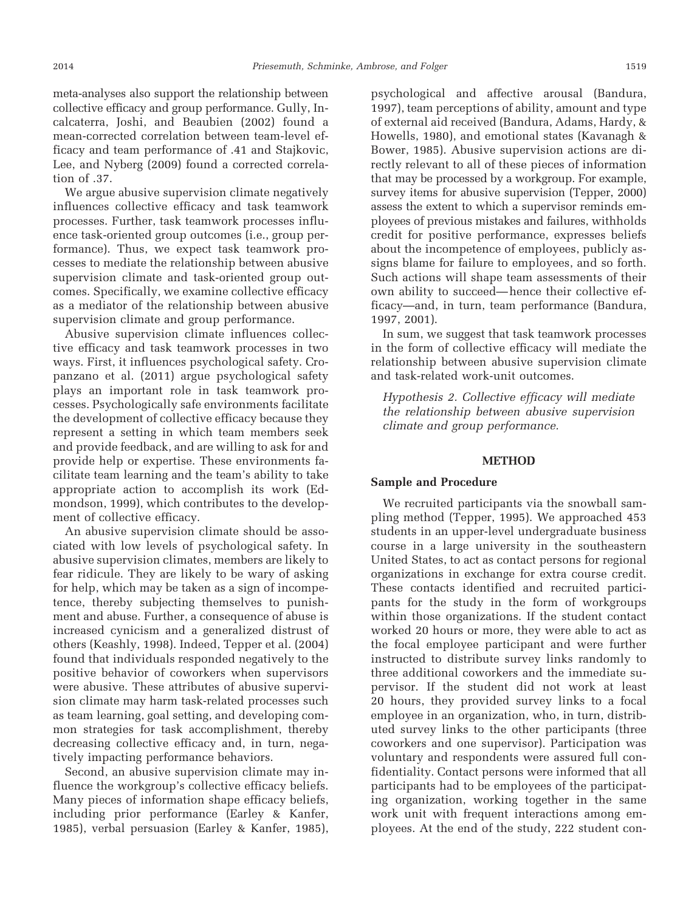meta-analyses also support the relationship between collective efficacy and group performance. Gully, Incalcaterra, Joshi, and Beaubien (2002) found a mean-corrected correlation between team-level efficacy and team performance of .41 and Stajkovic, Lee, and Nyberg (2009) found a corrected correlation of .37.

We argue abusive supervision climate negatively influences collective efficacy and task teamwork processes. Further, task teamwork processes influence task-oriented group outcomes (i.e., group performance). Thus, we expect task teamwork processes to mediate the relationship between abusive supervision climate and task-oriented group outcomes. Specifically, we examine collective efficacy as a mediator of the relationship between abusive supervision climate and group performance.

Abusive supervision climate influences collective efficacy and task teamwork processes in two ways. First, it influences psychological safety. Cropanzano et al. (2011) argue psychological safety plays an important role in task teamwork processes. Psychologically safe environments facilitate the development of collective efficacy because they represent a setting in which team members seek and provide feedback, and are willing to ask for and provide help or expertise. These environments facilitate team learning and the team's ability to take appropriate action to accomplish its work (Edmondson, 1999), which contributes to the development of collective efficacy.

An abusive supervision climate should be associated with low levels of psychological safety. In abusive supervision climates, members are likely to fear ridicule. They are likely to be wary of asking for help, which may be taken as a sign of incompetence, thereby subjecting themselves to punishment and abuse. Further, a consequence of abuse is increased cynicism and a generalized distrust of others (Keashly, 1998). Indeed, Tepper et al. (2004) found that individuals responded negatively to the positive behavior of coworkers when supervisors were abusive. These attributes of abusive supervision climate may harm task-related processes such as team learning, goal setting, and developing common strategies for task accomplishment, thereby decreasing collective efficacy and, in turn, negatively impacting performance behaviors.

Second, an abusive supervision climate may influence the workgroup's collective efficacy beliefs. Many pieces of information shape efficacy beliefs, including prior performance (Earley & Kanfer, 1985), verbal persuasion (Earley & Kanfer, 1985),

psychological and affective arousal (Bandura, 1997), team perceptions of ability, amount and type of external aid received (Bandura, Adams, Hardy, & Howells, 1980), and emotional states (Kavanagh & Bower, 1985). Abusive supervision actions are directly relevant to all of these pieces of information that may be processed by a workgroup. For example, survey items for abusive supervision (Tepper, 2000) assess the extent to which a supervisor reminds employees of previous mistakes and failures, withholds credit for positive performance, expresses beliefs about the incompetence of employees, publicly assigns blame for failure to employees, and so forth. Such actions will shape team assessments of their own ability to succeed—hence their collective efficacy—and, in turn, team performance (Bandura, 1997, 2001).

In sum, we suggest that task teamwork processes in the form of collective efficacy will mediate the relationship between abusive supervision climate and task-related work-unit outcomes.

*Hypothesis 2. Collective efficacy will mediate the relationship between abusive supervision climate and group performance.*

## **METHOD**

## **Sample and Procedure**

We recruited participants via the snowball sampling method (Tepper, 1995). We approached 453 students in an upper-level undergraduate business course in a large university in the southeastern United States, to act as contact persons for regional organizations in exchange for extra course credit. These contacts identified and recruited participants for the study in the form of workgroups within those organizations. If the student contact worked 20 hours or more, they were able to act as the focal employee participant and were further instructed to distribute survey links randomly to three additional coworkers and the immediate supervisor. If the student did not work at least 20 hours, they provided survey links to a focal employee in an organization, who, in turn, distributed survey links to the other participants (three coworkers and one supervisor). Participation was voluntary and respondents were assured full confidentiality. Contact persons were informed that all participants had to be employees of the participating organization, working together in the same work unit with frequent interactions among employees. At the end of the study, 222 student con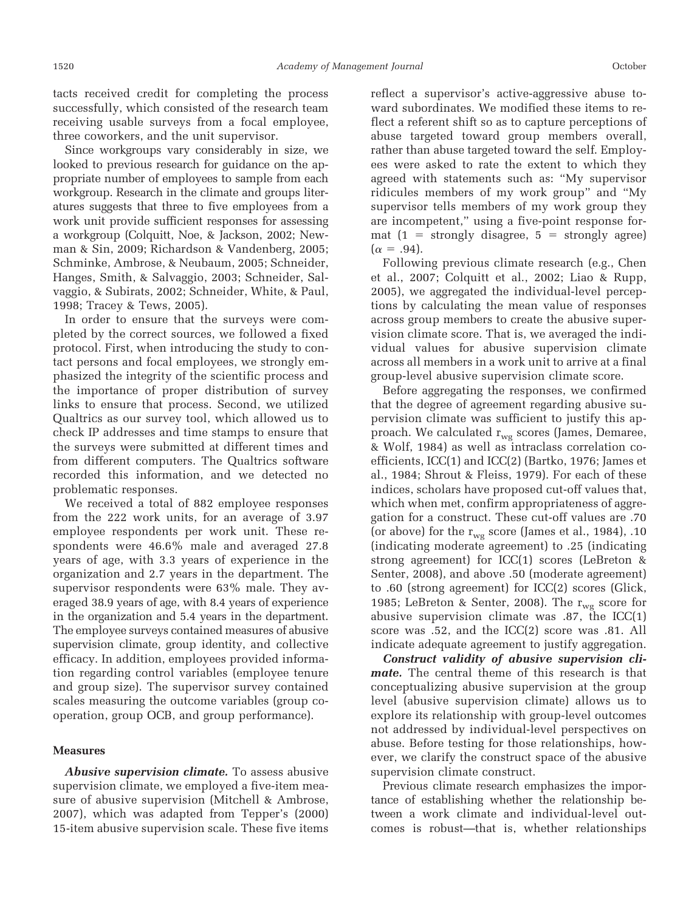tacts received credit for completing the process successfully, which consisted of the research team receiving usable surveys from a focal employee, three coworkers, and the unit supervisor.

Since workgroups vary considerably in size, we looked to previous research for guidance on the appropriate number of employees to sample from each workgroup. Research in the climate and groups literatures suggests that three to five employees from a work unit provide sufficient responses for assessing a workgroup (Colquitt, Noe, & Jackson, 2002; Newman & Sin, 2009; Richardson & Vandenberg, 2005; Schminke, Ambrose, & Neubaum, 2005; Schneider, Hanges, Smith, & Salvaggio, 2003; Schneider, Salvaggio, & Subirats, 2002; Schneider, White, & Paul, 1998; Tracey & Tews, 2005).

In order to ensure that the surveys were completed by the correct sources, we followed a fixed protocol. First, when introducing the study to contact persons and focal employees, we strongly emphasized the integrity of the scientific process and the importance of proper distribution of survey links to ensure that process. Second, we utilized Qualtrics as our survey tool, which allowed us to check IP addresses and time stamps to ensure that the surveys were submitted at different times and from different computers. The Qualtrics software recorded this information, and we detected no problematic responses.

We received a total of 882 employee responses from the 222 work units, for an average of 3.97 employee respondents per work unit. These respondents were 46.6% male and averaged 27.8 years of age, with 3.3 years of experience in the organization and 2.7 years in the department. The supervisor respondents were 63% male. They averaged 38.9 years of age, with 8.4 years of experience in the organization and 5.4 years in the department. The employee surveys contained measures of abusive supervision climate, group identity, and collective efficacy. In addition, employees provided information regarding control variables (employee tenure and group size). The supervisor survey contained scales measuring the outcome variables (group cooperation, group OCB, and group performance).

# **Measures**

*Abusive supervision climate.* To assess abusive supervision climate, we employed a five-item measure of abusive supervision (Mitchell & Ambrose, 2007), which was adapted from Tepper's (2000) 15-item abusive supervision scale. These five items reflect a supervisor's active-aggressive abuse toward subordinates. We modified these items to reflect a referent shift so as to capture perceptions of abuse targeted toward group members overall, rather than abuse targeted toward the self. Employees were asked to rate the extent to which they agreed with statements such as: "My supervisor ridicules members of my work group" and "My supervisor tells members of my work group they are incompetent," using a five-point response for- $\text{mat}$  (1 = strongly disagree, 5 = strongly agree)  $(\alpha = .94).$ 

Following previous climate research (e.g., Chen et al., 2007; Colquitt et al., 2002; Liao & Rupp, 2005), we aggregated the individual-level perceptions by calculating the mean value of responses across group members to create the abusive supervision climate score. That is, we averaged the individual values for abusive supervision climate across all members in a work unit to arrive at a final group-level abusive supervision climate score.

Before aggregating the responses, we confirmed that the degree of agreement regarding abusive supervision climate was sufficient to justify this approach. We calculated  $r_{wg}$  scores (James, Demaree, & Wolf, 1984) as well as intraclass correlation coefficients, ICC(1) and ICC(2) (Bartko, 1976; James et al., 1984; Shrout & Fleiss, 1979). For each of these indices, scholars have proposed cut-off values that, which when met, confirm appropriateness of aggregation for a construct. These cut-off values are .70 (or above) for the  $r_{wg}$  score (James et al., 1984), .10 (indicating moderate agreement) to .25 (indicating strong agreement) for ICC(1) scores (LeBreton & Senter, 2008), and above .50 (moderate agreement) to .60 (strong agreement) for ICC(2) scores (Glick, 1985; LeBreton & Senter, 2008). The  $r_{wg}$  score for abusive supervision climate was .87, the ICC(1) score was .52, and the ICC(2) score was .81. All indicate adequate agreement to justify aggregation.

*Construct validity of abusive supervision climate.* The central theme of this research is that conceptualizing abusive supervision at the group level (abusive supervision climate) allows us to explore its relationship with group-level outcomes not addressed by individual-level perspectives on abuse. Before testing for those relationships, however, we clarify the construct space of the abusive supervision climate construct.

Previous climate research emphasizes the importance of establishing whether the relationship between a work climate and individual-level outcomes is robust—that is, whether relationships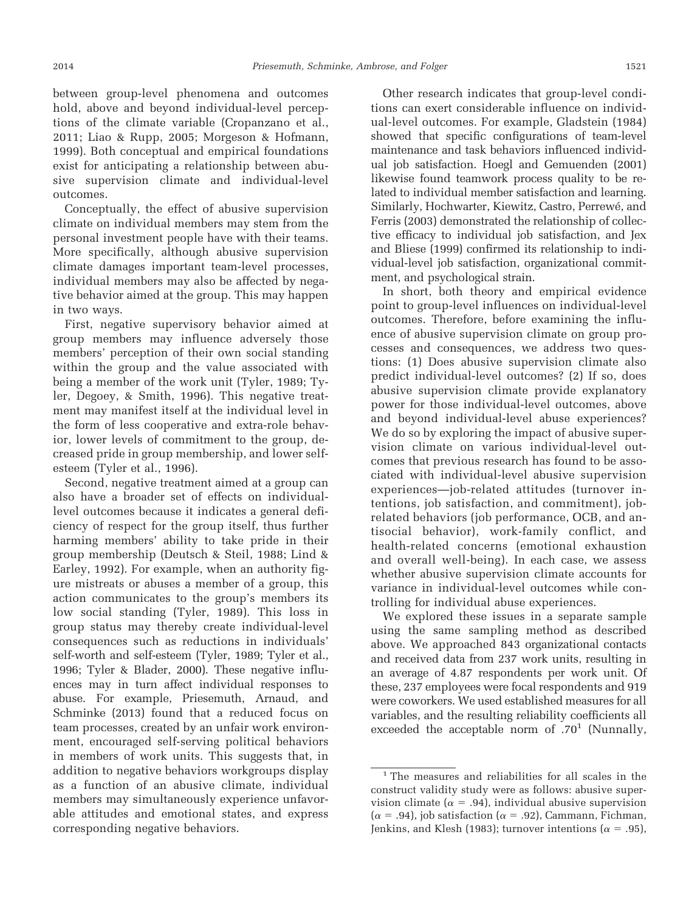between group-level phenomena and outcomes hold, above and beyond individual-level perceptions of the climate variable (Cropanzano et al., 2011; Liao & Rupp, 2005; Morgeson & Hofmann, 1999). Both conceptual and empirical foundations exist for anticipating a relationship between abusive supervision climate and individual-level outcomes.

Conceptually, the effect of abusive supervision climate on individual members may stem from the personal investment people have with their teams. More specifically, although abusive supervision climate damages important team-level processes, individual members may also be affected by negative behavior aimed at the group. This may happen in two ways.

First, negative supervisory behavior aimed at group members may influence adversely those members' perception of their own social standing within the group and the value associated with being a member of the work unit (Tyler, 1989; Tyler, Degoey, & Smith, 1996). This negative treatment may manifest itself at the individual level in the form of less cooperative and extra-role behavior, lower levels of commitment to the group, decreased pride in group membership, and lower selfesteem (Tyler et al., 1996).

Second, negative treatment aimed at a group can also have a broader set of effects on individuallevel outcomes because it indicates a general deficiency of respect for the group itself, thus further harming members' ability to take pride in their group membership (Deutsch & Steil, 1988; Lind & Earley, 1992). For example, when an authority figure mistreats or abuses a member of a group, this action communicates to the group's members its low social standing (Tyler, 1989). This loss in group status may thereby create individual-level consequences such as reductions in individuals' self-worth and self-esteem (Tyler, 1989; Tyler et al., 1996; Tyler & Blader, 2000). These negative influences may in turn affect individual responses to abuse. For example, Priesemuth, Arnaud, and Schminke (2013) found that a reduced focus on team processes, created by an unfair work environment, encouraged self-serving political behaviors in members of work units. This suggests that, in addition to negative behaviors workgroups display as a function of an abusive climate, individual members may simultaneously experience unfavorable attitudes and emotional states, and express corresponding negative behaviors.

Other research indicates that group-level conditions can exert considerable influence on individual-level outcomes. For example, Gladstein (1984) showed that specific configurations of team-level maintenance and task behaviors influenced individual job satisfaction. Hoegl and Gemuenden (2001) likewise found teamwork process quality to be related to individual member satisfaction and learning. Similarly, Hochwarter, Kiewitz, Castro, Perrewé, and Ferris (2003) demonstrated the relationship of collective efficacy to individual job satisfaction, and Jex and Bliese (1999) confirmed its relationship to individual-level job satisfaction, organizational commitment, and psychological strain.

In short, both theory and empirical evidence point to group-level influences on individual-level outcomes. Therefore, before examining the influence of abusive supervision climate on group processes and consequences, we address two questions: (1) Does abusive supervision climate also predict individual-level outcomes? (2) If so, does abusive supervision climate provide explanatory power for those individual-level outcomes, above and beyond individual-level abuse experiences? We do so by exploring the impact of abusive supervision climate on various individual-level outcomes that previous research has found to be associated with individual-level abusive supervision experiences—job-related attitudes (turnover intentions, job satisfaction, and commitment), jobrelated behaviors (job performance, OCB, and antisocial behavior), work-family conflict, and health-related concerns (emotional exhaustion and overall well-being). In each case, we assess whether abusive supervision climate accounts for variance in individual-level outcomes while controlling for individual abuse experiences.

We explored these issues in a separate sample using the same sampling method as described above. We approached 843 organizational contacts and received data from 237 work units, resulting in an average of 4.87 respondents per work unit. Of these, 237 employees were focal respondents and 919 were coworkers. We used established measures for all variables, and the resulting reliability coefficients all exceeded the acceptable norm of  $.70<sup>1</sup>$  (Nunnally,

<sup>1</sup> The measures and reliabilities for all scales in the construct validity study were as follows: abusive supervision climate ( $\alpha = .94$ ), individual abusive supervision ( $\alpha = .94$ ), job satisfaction ( $\alpha = .92$ ), Cammann, Fichman, Jenkins, and Klesh (1983); turnover intentions ( $\alpha = .95$ ),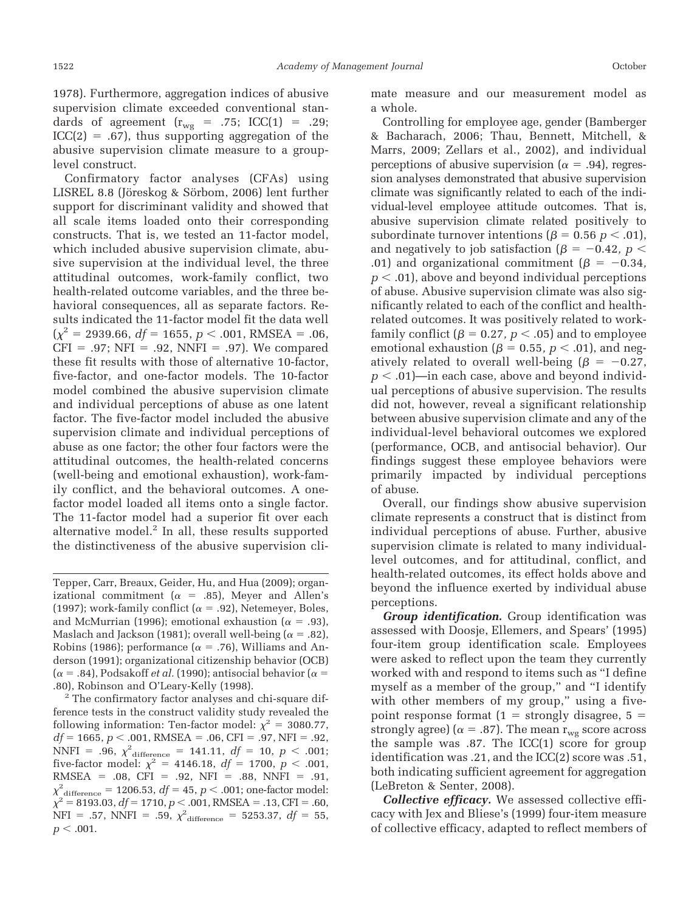1978). Furthermore, aggregation indices of abusive supervision climate exceeded conventional standards of agreement ( $r_{wg}$  = .75; ICC(1) = .29;  $ICC(2) = .67)$ , thus supporting aggregation of the abusive supervision climate measure to a grouplevel construct.

Confirmatory factor analyses (CFAs) using LISREL 8.8 (Jöreskog & Sörbom, 2006) lent further support for discriminant validity and showed that all scale items loaded onto their corresponding constructs. That is, we tested an 11-factor model, which included abusive supervision climate, abusive supervision at the individual level, the three attitudinal outcomes, work-family conflict, two health-related outcome variables, and the three behavioral consequences, all as separate factors. Results indicated the 11-factor model fit the data well  $(\chi^2 = 2939.66, df = 1655, p < .001, RMSEA = .06,$  $CFI = .97; NFI = .92, NNFI = .97$ ). We compared these fit results with those of alternative 10-factor, five-factor, and one-factor models. The 10-factor model combined the abusive supervision climate and individual perceptions of abuse as one latent factor. The five-factor model included the abusive supervision climate and individual perceptions of abuse as one factor; the other four factors were the attitudinal outcomes, the health-related concerns (well-being and emotional exhaustion), work-family conflict, and the behavioral outcomes. A onefactor model loaded all items onto a single factor. The 11-factor model had a superior fit over each alternative model. $<sup>2</sup>$  In all, these results supported</sup> the distinctiveness of the abusive supervision cli-

Tepper, Carr, Breaux, Geider, Hu, and Hua (2009); organizational commitment ( $\alpha$  = .85), Meyer and Allen's (1997); work-family conflict ( $\alpha = .92$ ), Netemeyer, Boles, and McMurrian (1996); emotional exhaustion ( $\alpha = .93$ ), Maslach and Jackson (1981); overall well-being ( $\alpha = .82$ ), Robins (1986); performance ( $\alpha = .76$ ), Williams and Anderson (1991); organizational citizenship behavior (OCB)  $(\alpha = .84)$ , Podsakoff *et al.* (1990); antisocial behavior ( $\alpha =$ 

.80), Robinson and O'Leary-Kelly (1998).<br><sup>2</sup> The confirmatory factor analyses and chi-square difference tests in the construct validity study revealed the following information: Ten-factor model:  $\chi^2 = 3080.77$ ,  $df = 1665, p < .001, RMSEA = .06, CFI = .97, NFI = .92,$ NNFI = .96,  $\chi^2$ <sub>difference</sub> = 141.11,  $df = 10$ ,  $p < .001$ ; five-factor model:  $\chi^2 = 4146.18$ ,  $df = 1700$ ,  $p < .001$ ,  $RMSEA = .08$ ,  $CFI = .92$ ,  $NFI = .88$ ,  $NNFI = .91$ ,  $\chi^2_{\text{ difference}} = 1206.53, df = 45, p < .001;$  one-factor model:  $\chi^2 = 8193.03, df = 1710, p < .001, RMSEA = .13, CFI = .60,$ NFI = .57, NNFI = .59,  $\chi^2$ <sub>difference</sub> = 5253.37, *df* = 55,  $p < .001$ .

mate measure and our measurement model as a whole.

Controlling for employee age, gender (Bamberger & Bacharach, 2006; Thau, Bennett, Mitchell, & Marrs, 2009; Zellars et al., 2002), and individual perceptions of abusive supervision ( $\alpha = .94$ ), regression analyses demonstrated that abusive supervision climate was significantly related to each of the individual-level employee attitude outcomes. That is, abusive supervision climate related positively to subordinate turnover intentions ( $\beta$  = 0.56  $p$  < .01), and negatively to job satisfaction ( $\beta$  =  $-0.42,\ p<$ .01) and organizational commitment  $(\beta = -0.34,$  $p < .01$ ), above and beyond individual perceptions of abuse. Abusive supervision climate was also significantly related to each of the conflict and healthrelated outcomes. It was positively related to workfamily conflict ( $\beta$  = 0.27*, p* < .05) and to employee emotional exhaustion ( $\beta$  = 0.55*, p* < .01), and negatively related to overall well-being ( $\beta = -0.27$ ,  $p < .01$ )—in each case, above and beyond individual perceptions of abusive supervision. The results did not, however, reveal a significant relationship between abusive supervision climate and any of the individual-level behavioral outcomes we explored (performance, OCB, and antisocial behavior). Our findings suggest these employee behaviors were primarily impacted by individual perceptions of abuse.

Overall, our findings show abusive supervision climate represents a construct that is distinct from individual perceptions of abuse. Further, abusive supervision climate is related to many individuallevel outcomes, and for attitudinal, conflict, and health-related outcomes, its effect holds above and beyond the influence exerted by individual abuse perceptions.

*Group identification.* Group identification was assessed with Doosje, Ellemers, and Spears' (1995) four-item group identification scale. Employees were asked to reflect upon the team they currently worked with and respond to items such as "I define myself as a member of the group," and "I identify with other members of my group," using a fivepoint response format (1 = strongly disagree, 5 = strongly agree) ( $\alpha$  = .87). The mean  $\rm r_{wg}$  score across the sample was .87. The ICC(1) score for group identification was .21, and the ICC(2) score was .51, both indicating sufficient agreement for aggregation (LeBreton & Senter, 2008).

*Collective efficacy.* We assessed collective efficacy with Jex and Bliese's (1999) four-item measure of collective efficacy, adapted to reflect members of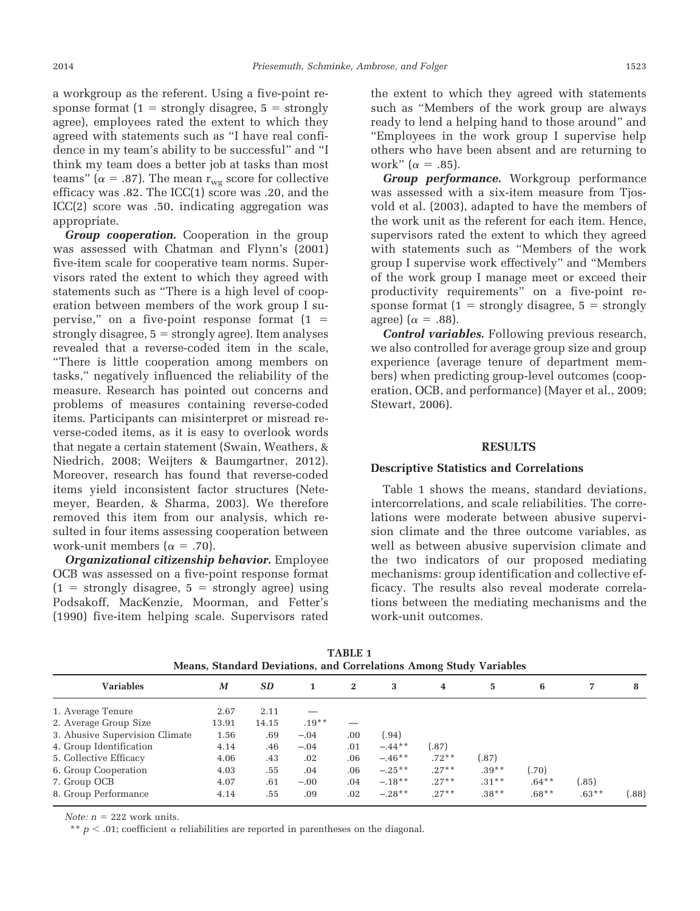a workgroup as the referent. Using a five-point response format (1 = strongly disagree, 5 = strongly agree), employees rated the extent to which they agreed with statements such as "I have real confidence in my team's ability to be successful" and "I think my team does a better job at tasks than most teams" ( $\alpha$  = .87). The mean  $\rm r_{wg}$  score for collective efficacy was .82. The ICC(1) score was .20, and the ICC(2) score was .50, indicating aggregation was appropriate.

*Group cooperation.* Cooperation in the group was assessed with Chatman and Flynn's (2001) five-item scale for cooperative team norms. Supervisors rated the extent to which they agreed with statements such as "There is a high level of cooperation between members of the work group I su- $\,$  pervise," on a five-point response format (1  $=$ strongly disagree, 5 = strongly agree). Item analyses revealed that a reverse-coded item in the scale, "There is little cooperation among members on tasks," negatively influenced the reliability of the measure. Research has pointed out concerns and problems of measures containing reverse-coded items. Participants can misinterpret or misread reverse-coded items, as it is easy to overlook words that negate a certain statement (Swain, Weathers, & Niedrich, 2008; Weijters & Baumgartner, 2012). Moreover, research has found that reverse-coded items yield inconsistent factor structures (Netemeyer, Bearden, & Sharma, 2003). We therefore removed this item from our analysis, which resulted in four items assessing cooperation between work-unit members ( $\alpha = .70$ ).

*Organizational citizenship behavior.* Employee OCB was assessed on a five-point response format  $(1 =$  strongly disagree,  $5 =$  strongly agree) using Podsakoff, MacKenzie, Moorman, and Fetter's (1990) five-item helping scale. Supervisors rated the extent to which they agreed with statements such as "Members of the work group are always ready to lend a helping hand to those around" and "Employees in the work group I supervise help others who have been absent and are returning to work" ( $\alpha = .85$ ).

*Group performance.* Workgroup performance was assessed with a six-item measure from Tjosvold et al. (2003), adapted to have the members of the work unit as the referent for each item. Hence, supervisors rated the extent to which they agreed with statements such as "Members of the work group I supervise work effectively" and "Members of the work group I manage meet or exceed their productivity requirements" on a five-point response format  $(1 =$  strongly disagree,  $5 =$  strongly agree) ( $\alpha = .88$ ).

*Control variables.* Following previous research, we also controlled for average group size and group experience (average tenure of department members) when predicting group-level outcomes (cooperation, OCB, and performance) (Mayer et al., 2009; Stewart, 2006).

## **RESULTS**

## **Descriptive Statistics and Correlations**

Table 1 shows the means, standard deviations, intercorrelations, and scale reliabilities. The correlations were moderate between abusive supervision climate and the three outcome variables, as well as between abusive supervision climate and the two indicators of our proposed mediating mechanisms: group identification and collective efficacy. The results also reveal moderate correlations between the mediating mechanisms and the work-unit outcomes.

| <b>Means, Standard Deviations, and Correlations Among Study Variables</b> |       |           |         |              |          |         |          |         |         |       |
|---------------------------------------------------------------------------|-------|-----------|---------|--------------|----------|---------|----------|---------|---------|-------|
| <b>Variables</b>                                                          | M     | <b>SD</b> | 1       | $\mathbf{2}$ | 3        | 4       | 5        | 6       | 7       | 8     |
| 1. Average Tenure                                                         | 2.67  | 2.11      |         |              |          |         |          |         |         |       |
| 2. Average Group Size                                                     | 13.91 | 14.15     | $.19**$ |              |          |         |          |         |         |       |
| 3. Abusive Supervision Climate                                            | 1.56  | .69       | $-.04$  | .00          | (.94)    |         |          |         |         |       |
| 4. Group Identification                                                   | 4.14  | .46       | $-.04$  | .01          | $-.44**$ | (.87)   |          |         |         |       |
| 5. Collective Efficacy                                                    | 4.06  | .43       | .02     | .06          | $-.46**$ | $.72**$ | (.87)    |         |         |       |
| 6. Group Cooperation                                                      | 4.03  | .55       | .04     | .06          | $-.25**$ | $.27**$ | $.39**$  | (70)    |         |       |
| 7. Group OCB                                                              | 4.07  | .61       | $-.00$  | .04          | $-.18**$ | $.27**$ | $.31***$ | $.64**$ | (.85)   |       |
| 8. Group Performance                                                      | 4.14  | .55       | .09     | .02          | $-.28**$ | $.27**$ | $.38**$  | $.68**$ | $.63**$ | (.88) |

**TABLE 1**

*Note:*  $n = 222$  work units.

\*\*  $p < .01$ ; coefficient  $\alpha$  reliabilities are reported in parentheses on the diagonal.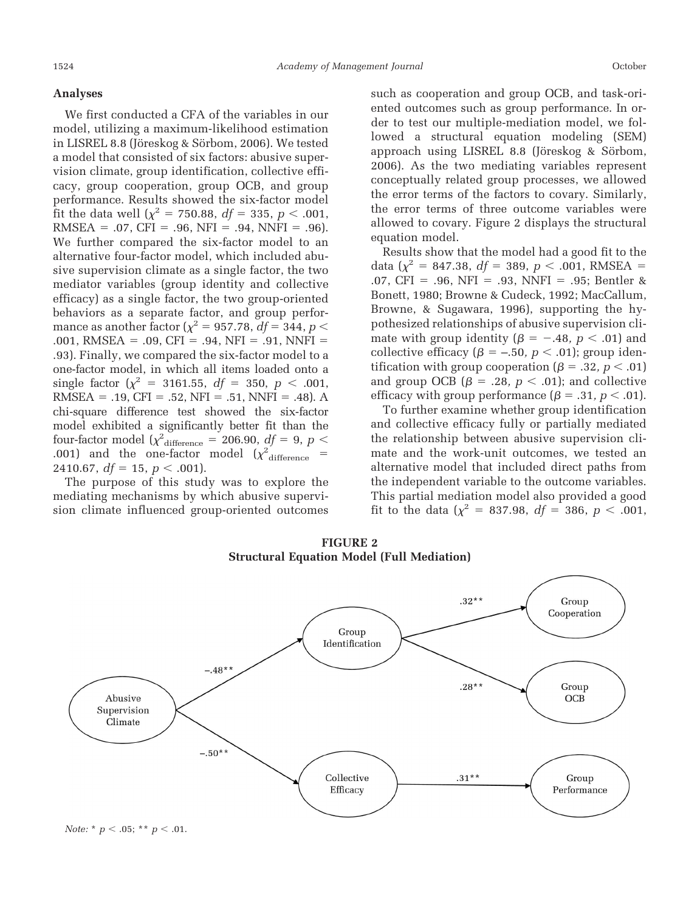## **Analyses**

We first conducted a CFA of the variables in our model, utilizing a maximum-likelihood estimation in LISREL 8.8 (Jöreskog & Sörbom, 2006). We tested a model that consisted of six factors: abusive supervision climate, group identification, collective efficacy, group cooperation, group OCB, and group performance. Results showed the six-factor model fit the data well ( $\chi^2 = 750.88$ , *df* = 335, *p* < .001,  $RMSEA = .07$ ,  $CFI = .96$ ,  $NFI = .94$ ,  $NNFI = .96$ ). We further compared the six-factor model to an alternative four-factor model, which included abusive supervision climate as a single factor, the two mediator variables (group identity and collective efficacy) as a single factor, the two group-oriented behaviors as a separate factor, and group performance as another factor ( $\chi^2 = 957.78$ ,  $df = 344$ ,  $p <$  $.001$ , RMSEA =  $.09$ , CFI =  $.94$ , NFI =  $.91$ , NNFI = .93). Finally, we compared the six-factor model to a one-factor model, in which all items loaded onto a single factor  $(\chi^2 = 3161.55, df = 350, p < .001,$  $RMSEA = .19, CFI = .52, NFI = .51, NNFI = .48$ ). A chi-square difference test showed the six-factor model exhibited a significantly better fit than the  $\text{four-factor model } (\chi^2_{\text{difference}} = 206.90, \, df = 9, \, p <$ .001) and the one-factor model  $(\chi^2)_{\text{difference}}$  =  $2410.67, df = 15, p < .001$ ).

The purpose of this study was to explore the mediating mechanisms by which abusive supervision climate influenced group-oriented outcomes such as cooperation and group OCB, and task-oriented outcomes such as group performance. In order to test our multiple-mediation model, we followed a structural equation modeling (SEM) approach using LISREL 8.8 (Jöreskog & Sörbom, 2006). As the two mediating variables represent conceptually related group processes, we allowed the error terms of the factors to covary. Similarly, the error terms of three outcome variables were allowed to covary. Figure 2 displays the structural equation model.

Results show that the model had a good fit to the data ( $\chi^2 = 847.38$ , *df* = 389, *p* < .001, RMSEA =  $.07, CFI = .96, NFI = .93, NNFI = .95; Bentler &$ Bonett, 1980; Browne & Cudeck, 1992; MacCallum, Browne, & Sugawara, 1996), supporting the hypothesized relationships of abusive supervision climate with group identity ( $\beta$  = -.48,  $p$  < .01) and collective efficacy ( $\beta$  = -.50,  $p$  < .01); group identification with group cooperation ( $\beta$  = .32,  $p$  < .01) and group OCB ( $\beta$  = .28*, p* < .01); and collective efficacy with group performance ( $\beta = .31, p < .01$ ).

To further examine whether group identification and collective efficacy fully or partially mediated the relationship between abusive supervision climate and the work-unit outcomes, we tested an alternative model that included direct paths from the independent variable to the outcome variables. This partial mediation model also provided a good fit to the data  $(\chi^2 = 837.98, df = 386, p < .001,$ 



**FIGURE 2 Structural Equation Model (Full Mediation)**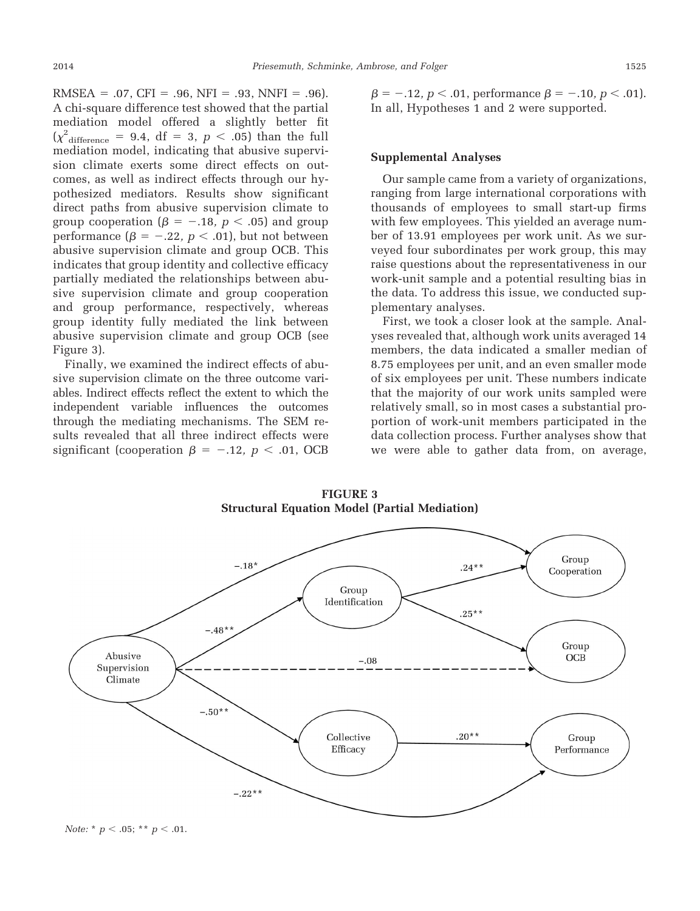$RMSEA = .07$ ,  $CFI = .96$ ,  $NFI = .93$ ,  $NNFI = .96$ ). A chi-square difference test showed that the partial mediation model offered a slightly better fit  $(\chi^2)$ <sub>difference</sub> = 9.4, df = 3, *p* < .05) than the full mediation model, indicating that abusive supervision climate exerts some direct effects on outcomes, as well as indirect effects through our hypothesized mediators. Results show significant direct paths from abusive supervision climate to group cooperation ( $\beta$  = -.18,  $p$  < .05) and group performance ( $\beta$  = -.22,  $p$  < .01), but not between abusive supervision climate and group OCB. This indicates that group identity and collective efficacy partially mediated the relationships between abusive supervision climate and group cooperation and group performance, respectively, whereas group identity fully mediated the link between abusive supervision climate and group OCB (see Figure 3).

Finally, we examined the indirect effects of abusive supervision climate on the three outcome variables. Indirect effects reflect the extent to which the independent variable influences the outcomes through the mediating mechanisms. The SEM results revealed that all three indirect effects were significant (cooperation  $\beta$  = -.12,  $p$  < .01, OCB

 $β = -.12, p < .01,$  performance  $β = -.10, p < .01$ ). In all, Hypotheses 1 and 2 were supported.

## **Supplemental Analyses**

Our sample came from a variety of organizations, ranging from large international corporations with thousands of employees to small start-up firms with few employees. This yielded an average number of 13.91 employees per work unit. As we surveyed four subordinates per work group, this may raise questions about the representativeness in our work-unit sample and a potential resulting bias in the data. To address this issue, we conducted supplementary analyses.

First, we took a closer look at the sample. Analyses revealed that, although work units averaged 14 members, the data indicated a smaller median of 8.75 employees per unit, and an even smaller mode of six employees per unit. These numbers indicate that the majority of our work units sampled were relatively small, so in most cases a substantial proportion of work-unit members participated in the data collection process. Further analyses show that we were able to gather data from, on average,



**FIGURE 3 Structural Equation Model (Partial Mediation)**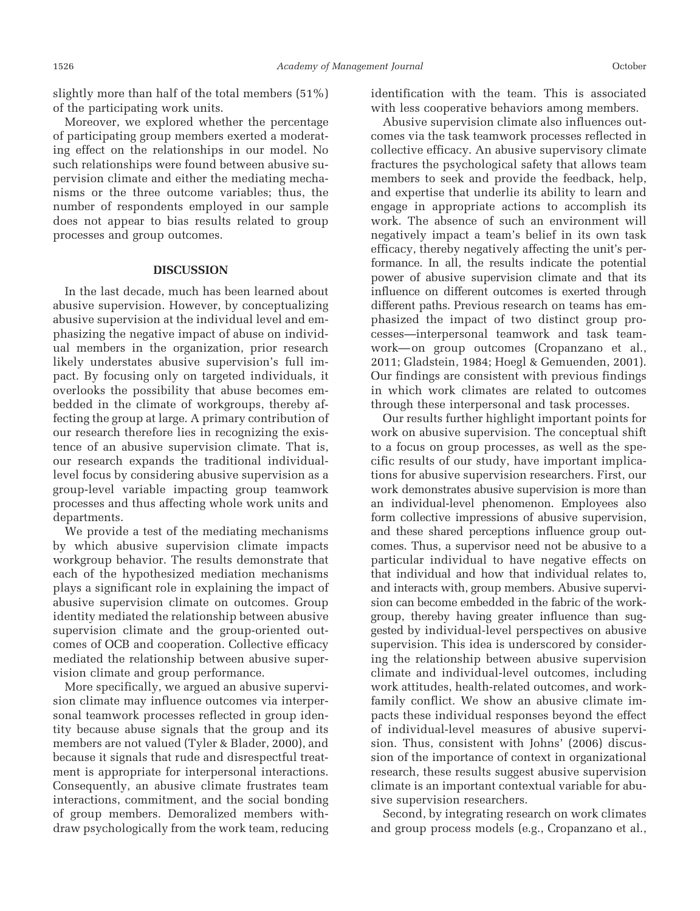slightly more than half of the total members (51%) of the participating work units.

Moreover, we explored whether the percentage of participating group members exerted a moderating effect on the relationships in our model. No such relationships were found between abusive supervision climate and either the mediating mechanisms or the three outcome variables; thus, the number of respondents employed in our sample does not appear to bias results related to group processes and group outcomes.

## **DISCUSSION**

In the last decade, much has been learned about abusive supervision. However, by conceptualizing abusive supervision at the individual level and emphasizing the negative impact of abuse on individual members in the organization, prior research likely understates abusive supervision's full impact. By focusing only on targeted individuals, it overlooks the possibility that abuse becomes embedded in the climate of workgroups, thereby affecting the group at large. A primary contribution of our research therefore lies in recognizing the existence of an abusive supervision climate. That is, our research expands the traditional individuallevel focus by considering abusive supervision as a group-level variable impacting group teamwork processes and thus affecting whole work units and departments.

We provide a test of the mediating mechanisms by which abusive supervision climate impacts workgroup behavior. The results demonstrate that each of the hypothesized mediation mechanisms plays a significant role in explaining the impact of abusive supervision climate on outcomes. Group identity mediated the relationship between abusive supervision climate and the group-oriented outcomes of OCB and cooperation. Collective efficacy mediated the relationship between abusive supervision climate and group performance.

More specifically, we argued an abusive supervision climate may influence outcomes via interpersonal teamwork processes reflected in group identity because abuse signals that the group and its members are not valued (Tyler & Blader, 2000), and because it signals that rude and disrespectful treatment is appropriate for interpersonal interactions. Consequently, an abusive climate frustrates team interactions, commitment, and the social bonding of group members. Demoralized members withdraw psychologically from the work team, reducing

identification with the team. This is associated with less cooperative behaviors among members.

Abusive supervision climate also influences outcomes via the task teamwork processes reflected in collective efficacy. An abusive supervisory climate fractures the psychological safety that allows team members to seek and provide the feedback, help, and expertise that underlie its ability to learn and engage in appropriate actions to accomplish its work. The absence of such an environment will negatively impact a team's belief in its own task efficacy, thereby negatively affecting the unit's performance. In all, the results indicate the potential power of abusive supervision climate and that its influence on different outcomes is exerted through different paths. Previous research on teams has emphasized the impact of two distinct group processes—interpersonal teamwork and task teamwork— on group outcomes (Cropanzano et al., 2011; Gladstein, 1984; Hoegl & Gemuenden, 2001). Our findings are consistent with previous findings in which work climates are related to outcomes through these interpersonal and task processes.

Our results further highlight important points for work on abusive supervision. The conceptual shift to a focus on group processes, as well as the specific results of our study, have important implications for abusive supervision researchers. First, our work demonstrates abusive supervision is more than an individual-level phenomenon. Employees also form collective impressions of abusive supervision, and these shared perceptions influence group outcomes. Thus, a supervisor need not be abusive to a particular individual to have negative effects on that individual and how that individual relates to, and interacts with, group members. Abusive supervision can become embedded in the fabric of the workgroup, thereby having greater influence than suggested by individual-level perspectives on abusive supervision. This idea is underscored by considering the relationship between abusive supervision climate and individual-level outcomes, including work attitudes, health-related outcomes, and workfamily conflict. We show an abusive climate impacts these individual responses beyond the effect of individual-level measures of abusive supervision. Thus, consistent with Johns' (2006) discussion of the importance of context in organizational research, these results suggest abusive supervision climate is an important contextual variable for abusive supervision researchers.

Second, by integrating research on work climates and group process models (e.g., Cropanzano et al.,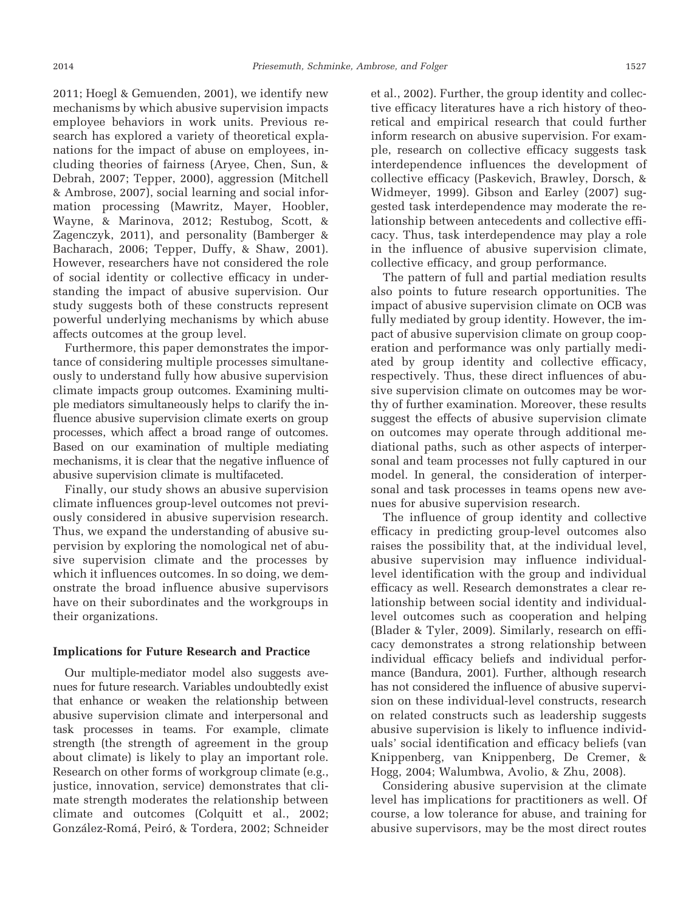2011; Hoegl & Gemuenden, 2001), we identify new mechanisms by which abusive supervision impacts employee behaviors in work units. Previous research has explored a variety of theoretical explanations for the impact of abuse on employees, including theories of fairness (Aryee, Chen, Sun, & Debrah, 2007; Tepper, 2000), aggression (Mitchell & Ambrose, 2007), social learning and social information processing (Mawritz, Mayer, Hoobler, Wayne, & Marinova, 2012; Restubog, Scott, & Zagenczyk, 2011), and personality (Bamberger & Bacharach, 2006; Tepper, Duffy, & Shaw, 2001). However, researchers have not considered the role of social identity or collective efficacy in understanding the impact of abusive supervision. Our study suggests both of these constructs represent powerful underlying mechanisms by which abuse affects outcomes at the group level.

Furthermore, this paper demonstrates the importance of considering multiple processes simultaneously to understand fully how abusive supervision climate impacts group outcomes. Examining multiple mediators simultaneously helps to clarify the influence abusive supervision climate exerts on group processes, which affect a broad range of outcomes. Based on our examination of multiple mediating mechanisms, it is clear that the negative influence of abusive supervision climate is multifaceted.

Finally, our study shows an abusive supervision climate influences group-level outcomes not previously considered in abusive supervision research. Thus, we expand the understanding of abusive supervision by exploring the nomological net of abusive supervision climate and the processes by which it influences outcomes. In so doing, we demonstrate the broad influence abusive supervisors have on their subordinates and the workgroups in their organizations.

## **Implications for Future Research and Practice**

Our multiple-mediator model also suggests avenues for future research. Variables undoubtedly exist that enhance or weaken the relationship between abusive supervision climate and interpersonal and task processes in teams. For example, climate strength (the strength of agreement in the group about climate) is likely to play an important role. Research on other forms of workgroup climate (e.g., justice, innovation, service) demonstrates that climate strength moderates the relationship between climate and outcomes (Colquitt et al., 2002; González-Romá, Peiró, & Tordera, 2002; Schneider

et al., 2002). Further, the group identity and collective efficacy literatures have a rich history of theoretical and empirical research that could further inform research on abusive supervision. For example, research on collective efficacy suggests task interdependence influences the development of collective efficacy (Paskevich, Brawley, Dorsch, & Widmeyer, 1999). Gibson and Earley (2007) suggested task interdependence may moderate the relationship between antecedents and collective efficacy. Thus, task interdependence may play a role in the influence of abusive supervision climate, collective efficacy, and group performance.

The pattern of full and partial mediation results also points to future research opportunities. The impact of abusive supervision climate on OCB was fully mediated by group identity. However, the impact of abusive supervision climate on group cooperation and performance was only partially mediated by group identity and collective efficacy, respectively. Thus, these direct influences of abusive supervision climate on outcomes may be worthy of further examination. Moreover, these results suggest the effects of abusive supervision climate on outcomes may operate through additional mediational paths, such as other aspects of interpersonal and team processes not fully captured in our model. In general, the consideration of interpersonal and task processes in teams opens new avenues for abusive supervision research.

The influence of group identity and collective efficacy in predicting group-level outcomes also raises the possibility that, at the individual level, abusive supervision may influence individuallevel identification with the group and individual efficacy as well. Research demonstrates a clear relationship between social identity and individuallevel outcomes such as cooperation and helping (Blader & Tyler, 2009). Similarly, research on efficacy demonstrates a strong relationship between individual efficacy beliefs and individual performance (Bandura, 2001). Further, although research has not considered the influence of abusive supervision on these individual-level constructs, research on related constructs such as leadership suggests abusive supervision is likely to influence individuals' social identification and efficacy beliefs (van Knippenberg, van Knippenberg, De Cremer, & Hogg, 2004; Walumbwa, Avolio, & Zhu, 2008).

Considering abusive supervision at the climate level has implications for practitioners as well. Of course, a low tolerance for abuse, and training for abusive supervisors, may be the most direct routes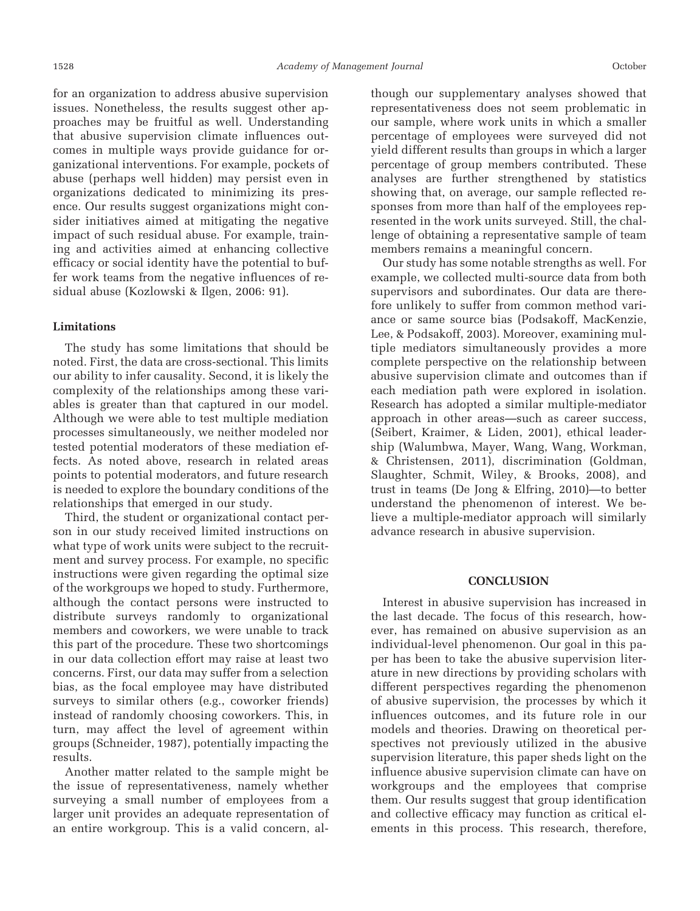for an organization to address abusive supervision issues. Nonetheless, the results suggest other approaches may be fruitful as well. Understanding that abusive supervision climate influences outcomes in multiple ways provide guidance for organizational interventions. For example, pockets of abuse (perhaps well hidden) may persist even in organizations dedicated to minimizing its presence. Our results suggest organizations might consider initiatives aimed at mitigating the negative impact of such residual abuse. For example, training and activities aimed at enhancing collective efficacy or social identity have the potential to buffer work teams from the negative influences of residual abuse (Kozlowski & Ilgen, 2006: 91).

# **Limitations**

The study has some limitations that should be noted. First, the data are cross-sectional. This limits our ability to infer causality. Second, it is likely the complexity of the relationships among these variables is greater than that captured in our model. Although we were able to test multiple mediation processes simultaneously, we neither modeled nor tested potential moderators of these mediation effects. As noted above, research in related areas points to potential moderators, and future research is needed to explore the boundary conditions of the relationships that emerged in our study.

Third, the student or organizational contact person in our study received limited instructions on what type of work units were subject to the recruitment and survey process. For example, no specific instructions were given regarding the optimal size of the workgroups we hoped to study. Furthermore, although the contact persons were instructed to distribute surveys randomly to organizational members and coworkers, we were unable to track this part of the procedure. These two shortcomings in our data collection effort may raise at least two concerns. First, our data may suffer from a selection bias, as the focal employee may have distributed surveys to similar others (e.g., coworker friends) instead of randomly choosing coworkers. This, in turn, may affect the level of agreement within groups (Schneider, 1987), potentially impacting the results.

Another matter related to the sample might be the issue of representativeness, namely whether surveying a small number of employees from a larger unit provides an adequate representation of an entire workgroup. This is a valid concern, although our supplementary analyses showed that representativeness does not seem problematic in our sample, where work units in which a smaller percentage of employees were surveyed did not yield different results than groups in which a larger percentage of group members contributed. These analyses are further strengthened by statistics showing that, on average, our sample reflected responses from more than half of the employees represented in the work units surveyed. Still, the challenge of obtaining a representative sample of team members remains a meaningful concern.

Our study has some notable strengths as well. For example, we collected multi-source data from both supervisors and subordinates. Our data are therefore unlikely to suffer from common method variance or same source bias (Podsakoff, MacKenzie, Lee, & Podsakoff, 2003). Moreover, examining multiple mediators simultaneously provides a more complete perspective on the relationship between abusive supervision climate and outcomes than if each mediation path were explored in isolation. Research has adopted a similar multiple-mediator approach in other areas—such as career success, (Seibert, Kraimer, & Liden, 2001), ethical leadership (Walumbwa, Mayer, Wang, Wang, Workman, & Christensen, 2011), discrimination (Goldman, Slaughter, Schmit, Wiley, & Brooks, 2008), and trust in teams (De Jong & Elfring, 2010)—to better understand the phenomenon of interest. We believe a multiple-mediator approach will similarly advance research in abusive supervision.

# **CONCLUSION**

Interest in abusive supervision has increased in the last decade. The focus of this research, however, has remained on abusive supervision as an individual-level phenomenon. Our goal in this paper has been to take the abusive supervision literature in new directions by providing scholars with different perspectives regarding the phenomenon of abusive supervision, the processes by which it influences outcomes, and its future role in our models and theories. Drawing on theoretical perspectives not previously utilized in the abusive supervision literature, this paper sheds light on the influence abusive supervision climate can have on workgroups and the employees that comprise them. Our results suggest that group identification and collective efficacy may function as critical elements in this process. This research, therefore,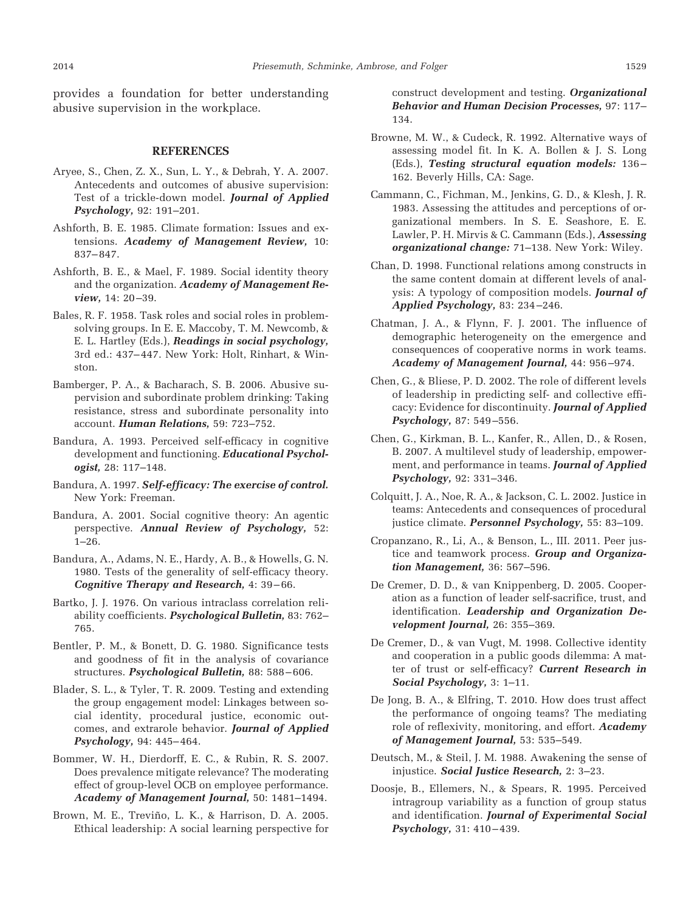provides a foundation for better understanding abusive supervision in the workplace.

# **REFERENCES**

- Aryee, S., Chen, Z. X., Sun, L. Y., & Debrah, Y. A. 2007. Antecedents and outcomes of abusive supervision: Test of a trickle-down model. *Journal of Applied Psychology,* 92: 191–201.
- Ashforth, B. E. 1985. Climate formation: Issues and extensions. *Academy of Management Review,* 10: 837– 847.
- Ashforth, B. E., & Mael, F. 1989. Social identity theory and the organization. *Academy of Management Review, 14: 20-39.*
- Bales, R. F. 1958. Task roles and social roles in problemsolving groups. In E. E. Maccoby, T. M. Newcomb, & E. L. Hartley (Eds.), *Readings in social psychology,* 3rd ed.: 437– 447. New York: Holt, Rinhart, & Winston.
- Bamberger, P. A., & Bacharach, S. B. 2006. Abusive supervision and subordinate problem drinking: Taking resistance, stress and subordinate personality into account. *Human Relations,* 59: 723–752.
- Bandura, A. 1993. Perceived self-efficacy in cognitive development and functioning. *Educational Psychologist,* 28: 117–148.
- Bandura, A. 1997. *Self-efficacy: The exercise of control.* New York: Freeman.
- Bandura, A. 2001. Social cognitive theory: An agentic perspective. *Annual Review of Psychology,* 52: 1–26.
- Bandura, A., Adams, N. E., Hardy, A. B., & Howells, G. N. 1980. Tests of the generality of self-efficacy theory. *Cognitive Therapy and Research,* 4: 39 – 66.
- Bartko, J. J. 1976. On various intraclass correlation reliability coefficients. *Psychological Bulletin,* 83: 762– 765.
- Bentler, P. M., & Bonett, D. G. 1980. Significance tests and goodness of fit in the analysis of covariance structures. *Psychological Bulletin,* 88: 588 – 606.
- Blader, S. L., & Tyler, T. R. 2009. Testing and extending the group engagement model: Linkages between social identity, procedural justice, economic outcomes, and extrarole behavior. *Journal of Applied Psychology,* 94: 445– 464.
- Bommer, W. H., Dierdorff, E. C., & Rubin, R. S. 2007. Does prevalence mitigate relevance? The moderating effect of group-level OCB on employee performance. *Academy of Management Journal,* 50: 1481–1494.
- Brown, M. E., Treviño, L. K., & Harrison, D. A. 2005. Ethical leadership: A social learning perspective for

construct development and testing. *Organizational Behavior and Human Decision Processes,* 97: 117– 134.

- Browne, M. W., & Cudeck, R. 1992. Alternative ways of assessing model fit. In K. A. Bollen & J. S. Long (Eds.), *Testing structural equation models:* 136 – 162. Beverly Hills, CA: Sage.
- Cammann, C., Fichman, M., Jenkins, G. D., & Klesh, J. R. 1983. Assessing the attitudes and perceptions of organizational members. In S. E. Seashore, E. E. Lawler, P. H. Mirvis & C. Cammann (Eds.), *Assessing organizational change:* 71–138. New York: Wiley.
- Chan, D. 1998. Functional relations among constructs in the same content domain at different levels of analysis: A typology of composition models. *Journal of Applied Psychology,* 83: 234 –246.
- Chatman, J. A., & Flynn, F. J. 2001. The influence of demographic heterogeneity on the emergence and consequences of cooperative norms in work teams. *Academy of Management Journal,* 44: 956 –974.
- Chen, G., & Bliese, P. D. 2002. The role of different levels of leadership in predicting self- and collective efficacy: Evidence for discontinuity. *Journal of Applied Psychology,* 87: 549 –556.
- Chen, G., Kirkman, B. L., Kanfer, R., Allen, D., & Rosen, B. 2007. A multilevel study of leadership, empowerment, and performance in teams. *Journal of Applied Psychology,* 92: 331–346.
- Colquitt, J. A., Noe, R. A., & Jackson, C. L. 2002. Justice in teams: Antecedents and consequences of procedural justice climate. *Personnel Psychology,* 55: 83–109.
- Cropanzano, R., Li, A., & Benson, L., III. 2011. Peer justice and teamwork process. *Group and Organization Management,* 36: 567–596.
- De Cremer, D. D., & van Knippenberg, D. 2005. Cooperation as a function of leader self-sacrifice, trust, and identification. *Leadership and Organization Development Journal,* 26: 355–369.
- De Cremer, D., & van Vugt, M. 1998. Collective identity and cooperation in a public goods dilemma: A matter of trust or self-efficacy? *Current Research in Social Psychology,* 3: 1–11.
- De Jong, B. A., & Elfring, T. 2010. How does trust affect the performance of ongoing teams? The mediating role of reflexivity, monitoring, and effort. *Academy of Management Journal,* 53: 535–549.
- Deutsch, M., & Steil, J. M. 1988. Awakening the sense of injustice. *Social Justice Research,* 2: 3–23.
- Doosje, B., Ellemers, N., & Spears, R. 1995. Perceived intragroup variability as a function of group status and identification. *Journal of Experimental Social Psychology,* 31: 410 – 439.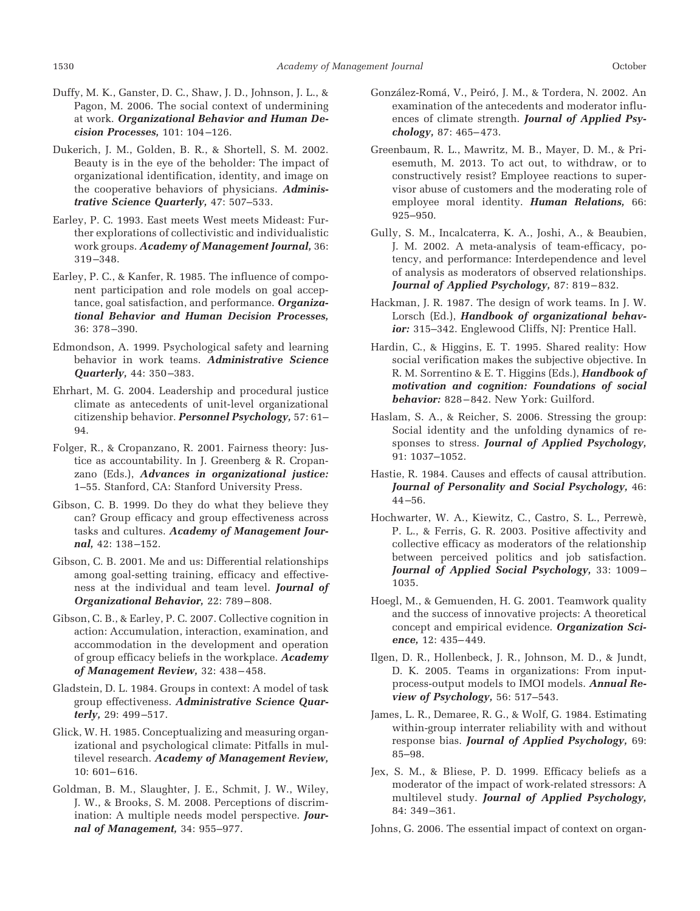- Duffy, M. K., Ganster, D. C., Shaw, J. D., Johnson, J. L., & Pagon, M. 2006. The social context of undermining at work. *Organizational Behavior and Human Decision Processes,* 101: 104 –126.
- Dukerich, J. M., Golden, B. R., & Shortell, S. M. 2002. Beauty is in the eye of the beholder: The impact of organizational identification, identity, and image on the cooperative behaviors of physicians. *Administrative Science Quarterly,* 47: 507–533.
- Earley, P. C. 1993. East meets West meets Mideast: Further explorations of collectivistic and individualistic work groups. *Academy of Management Journal,* 36: 319 –348.
- Earley, P. C., & Kanfer, R. 1985. The influence of component participation and role models on goal acceptance, goal satisfaction, and performance. *Organizational Behavior and Human Decision Processes,* 36: 378 –390.
- Edmondson, A. 1999. Psychological safety and learning behavior in work teams. *Administrative Science Quarterly,* 44: 350 –383.
- Ehrhart, M. G. 2004. Leadership and procedural justice climate as antecedents of unit-level organizational citizenship behavior. *Personnel Psychology,* 57: 61– 94.
- Folger, R., & Cropanzano, R. 2001. Fairness theory: Justice as accountability. In J. Greenberg & R. Cropanzano (Eds.), *Advances in organizational justice:* 1–55. Stanford, CA: Stanford University Press.
- Gibson, C. B. 1999. Do they do what they believe they can? Group efficacy and group effectiveness across tasks and cultures. *Academy of Management Journal,* 42: 138 –152.
- Gibson, C. B. 2001. Me and us: Differential relationships among goal-setting training, efficacy and effectiveness at the individual and team level. *Journal of Organizational Behavior,* 22: 789 – 808.
- Gibson, C. B., & Earley, P. C. 2007. Collective cognition in action: Accumulation, interaction, examination, and accommodation in the development and operation of group efficacy beliefs in the workplace. *Academy of Management Review,* 32: 438 – 458.
- Gladstein, D. L. 1984. Groups in context: A model of task group effectiveness. *Administrative Science Quarterly,* 29: 499 –517.
- Glick, W. H. 1985. Conceptualizing and measuring organizational and psychological climate: Pitfalls in multilevel research. *Academy of Management Review,* 10: 601– 616.
- Goldman, B. M., Slaughter, J. E., Schmit, J. W., Wiley, J. W., & Brooks, S. M. 2008. Perceptions of discrimination: A multiple needs model perspective. *Journal of Management,* 34: 955–977.
- González-Romá, V., Peiró, J. M., & Tordera, N. 2002. An examination of the antecedents and moderator influences of climate strength. *Journal of Applied Psychology,* 87: 465– 473.
- Greenbaum, R. L., Mawritz, M. B., Mayer, D. M., & Priesemuth, M. 2013. To act out, to withdraw, or to constructively resist? Employee reactions to supervisor abuse of customers and the moderating role of employee moral identity. *Human Relations,* 66: 925–950.
- Gully, S. M., Incalcaterra, K. A., Joshi, A., & Beaubien, J. M. 2002. A meta-analysis of team-efficacy, potency, and performance: Interdependence and level of analysis as moderators of observed relationships. *Journal of Applied Psychology,* 87: 819 – 832.
- Hackman, J. R. 1987. The design of work teams. In J. W. Lorsch (Ed.), *Handbook of organizational behavior:* 315–342. Englewood Cliffs, NJ: Prentice Hall.
- Hardin, C., & Higgins, E. T. 1995. Shared reality: How social verification makes the subjective objective. In R. M. Sorrentino & E. T. Higgins (Eds.), *Handbook of motivation and cognition: Foundations of social* behavior: 828-842. New York: Guilford.
- Haslam, S. A., & Reicher, S. 2006. Stressing the group: Social identity and the unfolding dynamics of responses to stress. *Journal of Applied Psychology,* 91: 1037–1052.
- Hastie, R. 1984. Causes and effects of causal attribution. *Journal of Personality and Social Psychology,* 46: 44 –56.
- Hochwarter, W. A., Kiewitz, C., Castro, S. L., Perrewè, P. L., & Ferris, G. R. 2003. Positive affectivity and collective efficacy as moderators of the relationship between perceived politics and job satisfaction. *Journal of Applied Social Psychology,* 33: 1009 – 1035.
- Hoegl, M., & Gemuenden, H. G. 2001. Teamwork quality and the success of innovative projects: A theoretical concept and empirical evidence. *Organization Science,* 12: 435– 449.
- Ilgen, D. R., Hollenbeck, J. R., Johnson, M. D., & Jundt, D. K. 2005. Teams in organizations: From inputprocess-output models to IMOI models. *Annual Review of Psychology,* 56: 517–543.
- James, L. R., Demaree, R. G., & Wolf, G. 1984. Estimating within-group interrater reliability with and without response bias. *Journal of Applied Psychology,* 69: 85–98.
- Jex, S. M., & Bliese, P. D. 1999. Efficacy beliefs as a moderator of the impact of work-related stressors: A multilevel study. *Journal of Applied Psychology,* 84: 349 –361.
- Johns, G. 2006. The essential impact of context on organ-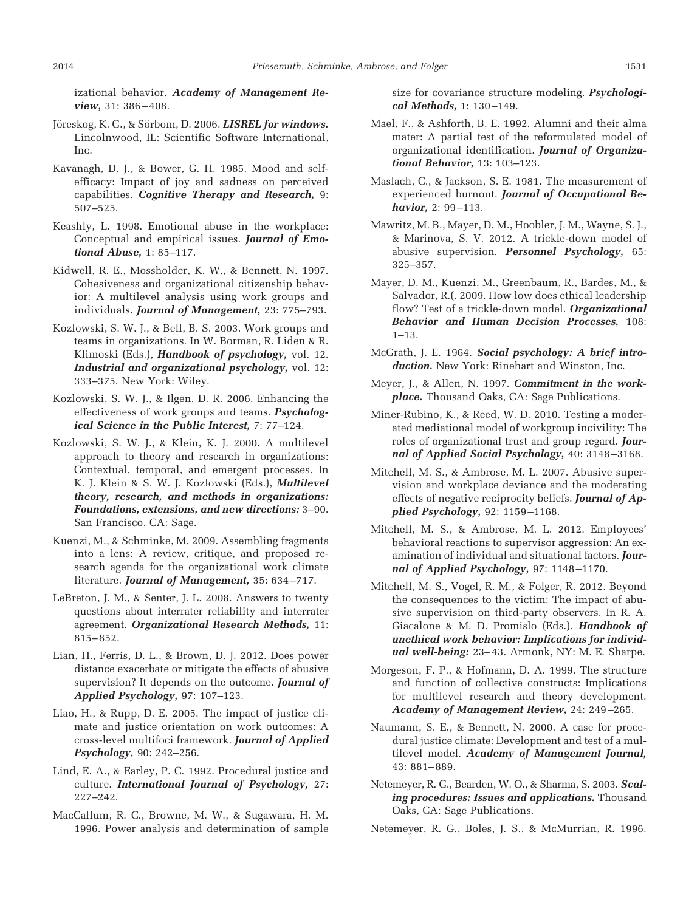izational behavior. *Academy of Management Review,* 31: 386 – 408.

- Jöreskog, K. G., & Sörbom, D. 2006. *LISREL for windows.* Lincolnwood, IL: Scientific Software International, Inc.
- Kavanagh, D. J., & Bower, G. H. 1985. Mood and selfefficacy: Impact of joy and sadness on perceived capabilities. *Cognitive Therapy and Research,* 9: 507–525.
- Keashly, L. 1998. Emotional abuse in the workplace: Conceptual and empirical issues. *Journal of Emotional Abuse,* 1: 85–117.
- Kidwell, R. E., Mossholder, K. W., & Bennett, N. 1997. Cohesiveness and organizational citizenship behavior: A multilevel analysis using work groups and individuals. *Journal of Management,* 23: 775–793.
- Kozlowski, S. W. J., & Bell, B. S. 2003. Work groups and teams in organizations. In W. Borman, R. Liden & R. Klimoski (Eds.), *Handbook of psychology,* vol. 12. *Industrial and organizational psychology,* vol. 12: 333–375. New York: Wiley.
- Kozlowski, S. W. J., & Ilgen, D. R. 2006. Enhancing the effectiveness of work groups and teams. *Psychological Science in the Public Interest,* 7: 77–124.
- Kozlowski, S. W. J., & Klein, K. J. 2000. A multilevel approach to theory and research in organizations: Contextual, temporal, and emergent processes. In K. J. Klein & S. W. J. Kozlowski (Eds.), *Multilevel theory, research, and methods in organizations: Foundations, extensions, and new directions:* 3–90. San Francisco, CA: Sage.
- Kuenzi, M., & Schminke, M. 2009. Assembling fragments into a lens: A review, critique, and proposed research agenda for the organizational work climate literature. *Journal of Management,* 35: 634 –717.
- LeBreton, J. M., & Senter, J. L. 2008. Answers to twenty questions about interrater reliability and interrater agreement. *Organizational Research Methods,* 11: 815– 852.
- Lian, H., Ferris, D. L., & Brown, D. J. 2012. Does power distance exacerbate or mitigate the effects of abusive supervision? It depends on the outcome. *Journal of Applied Psychology,* 97: 107–123.
- Liao, H., & Rupp, D. E. 2005. The impact of justice climate and justice orientation on work outcomes: A cross-level multifoci framework. *Journal of Applied Psychology,* 90: 242–256.
- Lind, E. A., & Earley, P. C. 1992. Procedural justice and culture. *International Journal of Psychology,* 27: 227–242.
- MacCallum, R. C., Browne, M. W., & Sugawara, H. M. 1996. Power analysis and determination of sample

size for covariance structure modeling. *Psychological Methods,* 1: 130 –149.

- Mael, F., & Ashforth, B. E. 1992. Alumni and their alma mater: A partial test of the reformulated model of organizational identification. *Journal of Organizational Behavior,* 13: 103–123.
- Maslach, C., & Jackson, S. E. 1981. The measurement of experienced burnout. *Journal of Occupational Behavior.* 2: 99-113.
- Mawritz, M. B., Mayer, D. M., Hoobler, J. M., Wayne, S. J., & Marinova, S. V. 2012. A trickle-down model of abusive supervision. *Personnel Psychology,* 65: 325–357.
- Mayer, D. M., Kuenzi, M., Greenbaum, R., Bardes, M., & Salvador, R.(. 2009. How low does ethical leadership flow? Test of a trickle-down model. *Organizational Behavior and Human Decision Processes,* 108: 1–13.
- McGrath, J. E. 1964. *Social psychology: A brief introduction.* New York: Rinehart and Winston, Inc.
- Meyer, J., & Allen, N. 1997. *Commitment in the workplace.* Thousand Oaks, CA: Sage Publications.
- Miner-Rubino, K., & Reed, W. D. 2010. Testing a moderated mediational model of workgroup incivility: The roles of organizational trust and group regard. *Journal of Applied Social Psychology,* 40: 3148 –3168.
- Mitchell, M. S., & Ambrose, M. L. 2007. Abusive supervision and workplace deviance and the moderating effects of negative reciprocity beliefs. *Journal of Applied Psychology,* 92: 1159 –1168.
- Mitchell, M. S., & Ambrose, M. L. 2012. Employees' behavioral reactions to supervisor aggression: An examination of individual and situational factors. *Journal of Applied Psychology,* 97: 1148 –1170.
- Mitchell, M. S., Vogel, R. M., & Folger, R. 2012. Beyond the consequences to the victim: The impact of abusive supervision on third-party observers. In R. A. Giacalone & M. D. Promislo (Eds.), *Handbook of unethical work behavior: Implications for individual well-being:* 23– 43. Armonk, NY: M. E. Sharpe.
- Morgeson, F. P., & Hofmann, D. A. 1999. The structure and function of collective constructs: Implications for multilevel research and theory development. *Academy of Management Review,* 24: 249 –265.
- Naumann, S. E., & Bennett, N. 2000. A case for procedural justice climate: Development and test of a multilevel model. *Academy of Management Journal,* 43: 881– 889.
- Netemeyer, R. G., Bearden, W. O., & Sharma, S. 2003. *Scaling procedures: Issues and applications.* Thousand Oaks, CA: Sage Publications.
- Netemeyer, R. G., Boles, J. S., & McMurrian, R. 1996.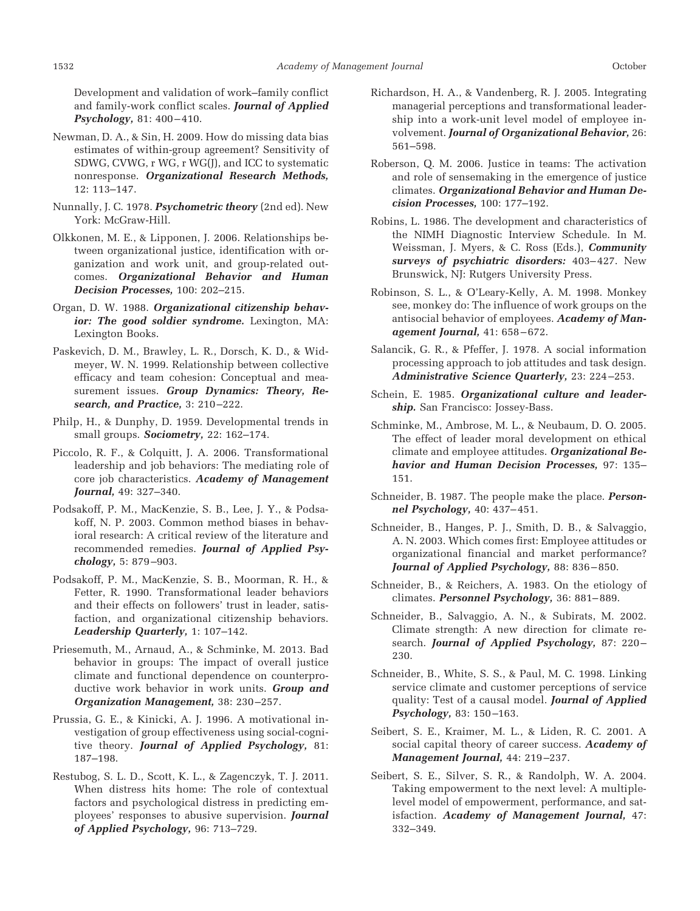Development and validation of work–family conflict and family-work conflict scales. *Journal of Applied Psychology*, 81: 400-410.

- Newman, D. A., & Sin, H. 2009. How do missing data bias estimates of within-group agreement? Sensitivity of SDWG, CVWG, r WG, r WG(J), and ICC to systematic nonresponse. *Organizational Research Methods,* 12: 113–147.
- Nunnally, J. C. 1978. *Psychometric theory* (2nd ed). New York: McGraw-Hill.
- Olkkonen, M. E., & Lipponen, J. 2006. Relationships between organizational justice, identification with organization and work unit, and group-related outcomes. *Organizational Behavior and Human Decision Processes,* 100: 202–215.
- Organ, D. W. 1988. *Organizational citizenship behavior: The good soldier syndrome.* Lexington, MA: Lexington Books.
- Paskevich, D. M., Brawley, L. R., Dorsch, K. D., & Widmeyer, W. N. 1999. Relationship between collective efficacy and team cohesion: Conceptual and measurement issues. *Group Dynamics: Theory, Research, and Practice,* 3: 210 –222.
- Philp, H., & Dunphy, D. 1959. Developmental trends in small groups. *Sociometry,* 22: 162–174.
- Piccolo, R. F., & Colquitt, J. A. 2006. Transformational leadership and job behaviors: The mediating role of core job characteristics. *Academy of Management Journal,* 49: 327–340.
- Podsakoff, P. M., MacKenzie, S. B., Lee, J. Y., & Podsakoff, N. P. 2003. Common method biases in behavioral research: A critical review of the literature and recommended remedies. *Journal of Applied Psychology,* 5: 879 –903.
- Podsakoff, P. M., MacKenzie, S. B., Moorman, R. H., & Fetter, R. 1990. Transformational leader behaviors and their effects on followers' trust in leader, satisfaction, and organizational citizenship behaviors. *Leadership Quarterly,* 1: 107–142.
- Priesemuth, M., Arnaud, A., & Schminke, M. 2013. Bad behavior in groups: The impact of overall justice climate and functional dependence on counterproductive work behavior in work units. *Group and Organization Management,* 38: 230 –257.
- Prussia, G. E., & Kinicki, A. J. 1996. A motivational investigation of group effectiveness using social-cognitive theory. *Journal of Applied Psychology,* 81: 187–198.
- Restubog, S. L. D., Scott, K. L., & Zagenczyk, T. J. 2011. When distress hits home: The role of contextual factors and psychological distress in predicting employees' responses to abusive supervision. *Journal of Applied Psychology,* 96: 713–729.
- Richardson, H. A., & Vandenberg, R. J. 2005. Integrating managerial perceptions and transformational leadership into a work-unit level model of employee involvement. *Journal of Organizational Behavior,* 26: 561–598.
- Roberson, Q. M. 2006. Justice in teams: The activation and role of sensemaking in the emergence of justice climates. *Organizational Behavior and Human Decision Processes,* 100: 177–192.
- Robins, L. 1986. The development and characteristics of the NIMH Diagnostic Interview Schedule. In M. Weissman, J. Myers, & C. Ross (Eds.), *Community surveys of psychiatric disorders:* 403– 427. New Brunswick, NJ: Rutgers University Press.
- Robinson, S. L., & O'Leary-Kelly, A. M. 1998. Monkey see, monkey do: The influence of work groups on the antisocial behavior of employees. *Academy of Management Journal,* 41: 658 – 672.
- Salancik, G. R., & Pfeffer, J. 1978. A social information processing approach to job attitudes and task design. *Administrative Science Quarterly,* 23: 224 –253.
- Schein, E. 1985. *Organizational culture and leadership.* San Francisco: Jossey-Bass.
- Schminke, M., Ambrose, M. L., & Neubaum, D. O. 2005. The effect of leader moral development on ethical climate and employee attitudes. *Organizational Behavior and Human Decision Processes,* 97: 135– 151.
- Schneider, B. 1987. The people make the place. *Personnel Psychology,* 40: 437– 451.
- Schneider, B., Hanges, P. J., Smith, D. B., & Salvaggio, A. N. 2003. Which comes first: Employee attitudes or organizational financial and market performance? *Journal of Applied Psychology,* 88: 836 – 850.
- Schneider, B., & Reichers, A. 1983. On the etiology of climates. *Personnel Psychology,* 36: 881– 889.
- Schneider, B., Salvaggio, A. N., & Subirats, M. 2002. Climate strength: A new direction for climate research. *Journal of Applied Psychology,* 87: 220 – 230.
- Schneider, B., White, S. S., & Paul, M. C. 1998. Linking service climate and customer perceptions of service quality: Test of a causal model. *Journal of Applied Psychology*, 83: 150-163.
- Seibert, S. E., Kraimer, M. L., & Liden, R. C. 2001. A social capital theory of career success. *Academy of Management Journal,* 44: 219 –237.
- Seibert, S. E., Silver, S. R., & Randolph, W. A. 2004. Taking empowerment to the next level: A multiplelevel model of empowerment, performance, and satisfaction. *Academy of Management Journal,* 47: 332–349.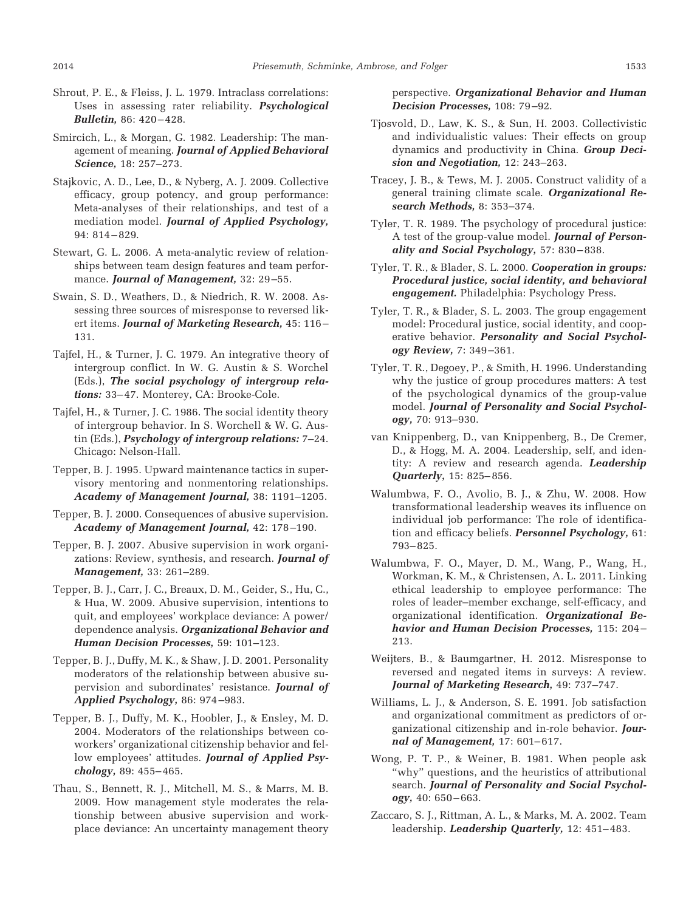- Shrout, P. E., & Fleiss, J. L. 1979. Intraclass correlations: Uses in assessing rater reliability. *Psychological Bulletin,* 86: 420 – 428.
- Smircich, L., & Morgan, G. 1982. Leadership: The management of meaning. *Journal of Applied Behavioral Science,* 18: 257–273.
- Stajkovic, A. D., Lee, D., & Nyberg, A. J. 2009. Collective efficacy, group potency, and group performance: Meta-analyses of their relationships, and test of a mediation model. *Journal of Applied Psychology,* 94: 814 – 829.
- Stewart, G. L. 2006. A meta-analytic review of relationships between team design features and team performance. *Journal of Management*, 32: 29–55.
- Swain, S. D., Weathers, D., & Niedrich, R. W. 2008. Assessing three sources of misresponse to reversed likert items. *Journal of Marketing Research,* 45: 116 – 131.
- Tajfel, H., & Turner, J. C. 1979. An integrative theory of intergroup conflict. In W. G. Austin & S. Worchel (Eds.), *The social psychology of intergroup relations:* 33– 47. Monterey, CA: Brooke-Cole.
- Tajfel, H., & Turner, J. C. 1986. The social identity theory of intergroup behavior. In S. Worchell & W. G. Austin (Eds.), *Psychology of intergroup relations:* 7–24. Chicago: Nelson-Hall.
- Tepper, B. J. 1995. Upward maintenance tactics in supervisory mentoring and nonmentoring relationships. *Academy of Management Journal,* 38: 1191–1205.
- Tepper, B. J. 2000. Consequences of abusive supervision. *Academy of Management Journal,* 42: 178 –190.
- Tepper, B. J. 2007. Abusive supervision in work organizations: Review, synthesis, and research. *Journal of Management,* 33: 261–289.
- Tepper, B. J., Carr, J. C., Breaux, D. M., Geider, S., Hu, C., & Hua, W. 2009. Abusive supervision, intentions to quit, and employees' workplace deviance: A power/ dependence analysis. *Organizational Behavior and Human Decision Processes,* 59: 101–123.
- Tepper, B. J., Duffy, M. K., & Shaw, J. D. 2001. Personality moderators of the relationship between abusive supervision and subordinates' resistance. *Journal of Applied Psychology,* 86: 974 –983.
- Tepper, B. J., Duffy, M. K., Hoobler, J., & Ensley, M. D. 2004. Moderators of the relationships between coworkers' organizational citizenship behavior and fellow employees' attitudes. *Journal of Applied Psychology,* 89: 455– 465.
- Thau, S., Bennett, R. J., Mitchell, M. S., & Marrs, M. B. 2009. How management style moderates the relationship between abusive supervision and workplace deviance: An uncertainty management theory

perspective. *Organizational Behavior and Human Decision Processes,* 108: 79 –92.

- Tjosvold, D., Law, K. S., & Sun, H. 2003. Collectivistic and individualistic values: Their effects on group dynamics and productivity in China. *Group Decision and Negotiation,* 12: 243–263.
- Tracey, J. B., & Tews, M. J. 2005. Construct validity of a general training climate scale. *Organizational Research Methods,* 8: 353–374.
- Tyler, T. R. 1989. The psychology of procedural justice: A test of the group-value model. *Journal of Personality and Social Psychology,* 57: 830 – 838.
- Tyler, T. R., & Blader, S. L. 2000. *Cooperation in groups: Procedural justice, social identity, and behavioral engagement.* Philadelphia: Psychology Press.
- Tyler, T. R., & Blader, S. L. 2003. The group engagement model: Procedural justice, social identity, and cooperative behavior. *Personality and Social Psychology Review,* 7: 349 –361.
- Tyler, T. R., Degoey, P., & Smith, H. 1996. Understanding why the justice of group procedures matters: A test of the psychological dynamics of the group-value model. *Journal of Personality and Social Psychology,* 70: 913–930.
- van Knippenberg, D., van Knippenberg, B., De Cremer, D., & Hogg, M. A. 2004. Leadership, self, and identity: A review and research agenda. *Leadership Quarterly,* 15: 825– 856.
- Walumbwa, F. O., Avolio, B. J., & Zhu, W. 2008. How transformational leadership weaves its influence on individual job performance: The role of identification and efficacy beliefs. *Personnel Psychology,* 61: 793– 825.
- Walumbwa, F. O., Mayer, D. M., Wang, P., Wang, H., Workman, K. M., & Christensen, A. L. 2011. Linking ethical leadership to employee performance: The roles of leader–member exchange, self-efficacy, and organizational identification. *Organizational Behavior and Human Decision Processes,* 115: 204 – 213.
- Weijters, B., & Baumgartner, H. 2012. Misresponse to reversed and negated items in surveys: A review. *Journal of Marketing Research,* 49: 737–747.
- Williams, L. J., & Anderson, S. E. 1991. Job satisfaction and organizational commitment as predictors of organizational citizenship and in-role behavior. *Journal of Management,* 17: 601– 617.
- Wong, P. T. P., & Weiner, B. 1981. When people ask "why" questions, and the heuristics of attributional search. *Journal of Personality and Social Psychology,* 40: 650 – 663.
- Zaccaro, S. J., Rittman, A. L., & Marks, M. A. 2002. Team leadership. *Leadership Quarterly*, 12: 451-483.